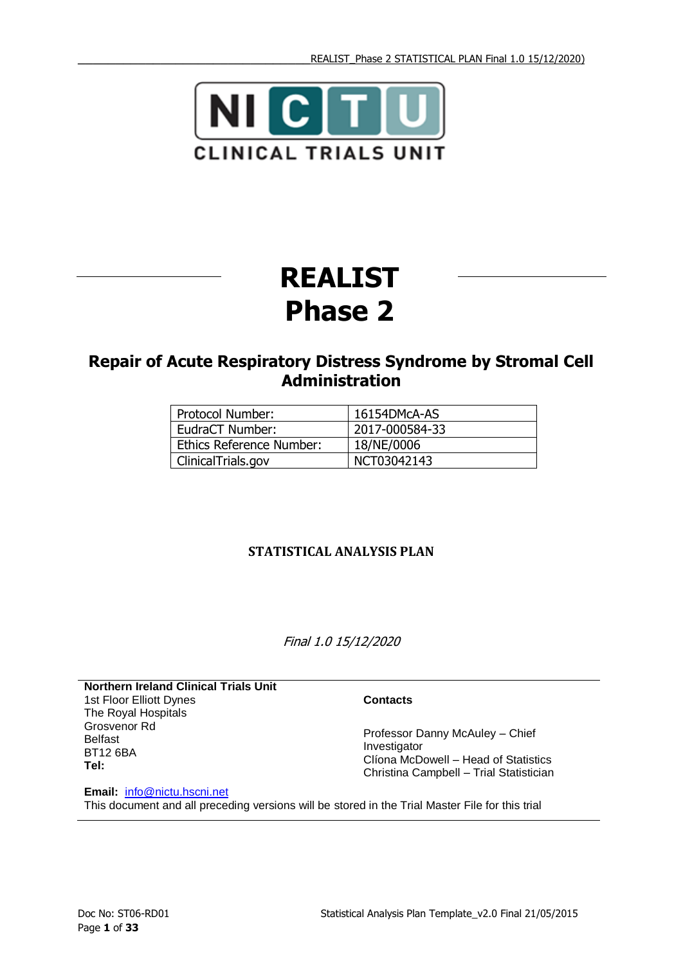

# **REALIST Phase 2**

## **Repair of Acute Respiratory Distress Syndrome by Stromal Cell Administration**

| <b>Protocol Number:</b>  | 16154DMcA-AS   |
|--------------------------|----------------|
| EudraCT Number:          | 2017-000584-33 |
| Ethics Reference Number: | 18/NE/0006     |
| ClinicalTrials.gov       | NCT03042143    |

### **STATISTICAL ANALYSIS PLAN**

Final 1.0 15/12/2020

<span id="page-0-0"></span>**Northern Ireland Clinical Trials Unit** 1st Floor Elliott Dynes The Royal Hospitals Grosvenor Rd Belfast BT12 6BA **Tel:** 

#### **Contacts**

Professor Danny McAuley – Chief Investigator Clíona McDowell – Head of Statistics Christina Campbell – Trial Statistician

**Email:** [info@nictu.hscni.net](mailto:info@nictu.hscni.net) This document and all preceding versions will be stored in the Trial Master File for this trial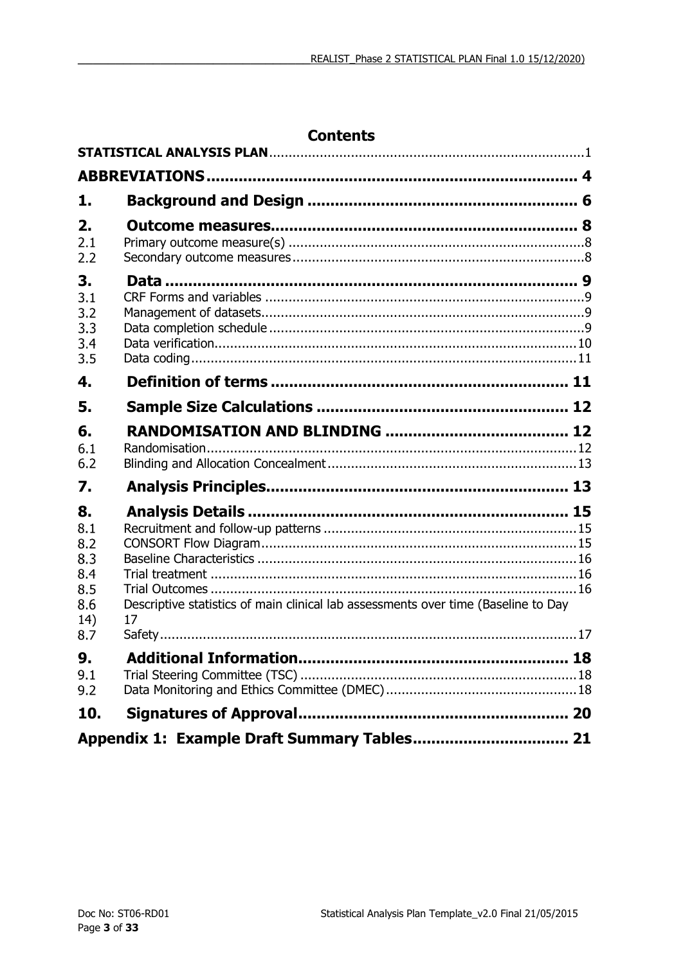|                                              | <b>Contents</b>                                                                    |  |
|----------------------------------------------|------------------------------------------------------------------------------------|--|
|                                              |                                                                                    |  |
|                                              |                                                                                    |  |
| 1.                                           |                                                                                    |  |
| 2.<br>2.1<br>2.2                             |                                                                                    |  |
| 3.<br>3.1<br>3.2<br>3.3<br>3.4<br>3.5        |                                                                                    |  |
| 4.                                           |                                                                                    |  |
| 5.                                           |                                                                                    |  |
| 6.<br>6.1<br>6.2                             |                                                                                    |  |
| 7.                                           |                                                                                    |  |
| 8.<br>8.1<br>8.2<br>8.3<br>8.4<br>8.5<br>8.6 | Descriptive statistics of main clinical lab assessments over time (Baseline to Day |  |
| 14)<br>8.7                                   | 17                                                                                 |  |
| 9.<br>9.1<br>9.2                             |                                                                                    |  |
| 10.                                          |                                                                                    |  |
|                                              |                                                                                    |  |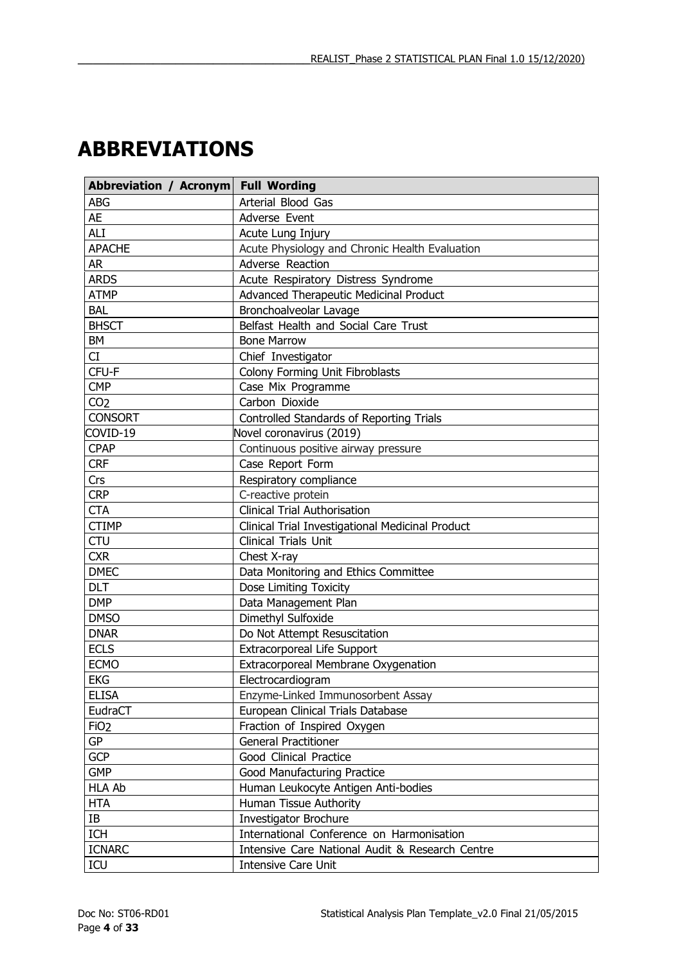# <span id="page-3-0"></span>**ABBREVIATIONS**

| Abbreviation / Acronym Full Wording |                                                  |
|-------------------------------------|--------------------------------------------------|
| <b>ABG</b>                          | Arterial Blood Gas                               |
| <b>AE</b>                           | Adverse Event                                    |
| <b>ALI</b>                          | Acute Lung Injury                                |
| <b>APACHE</b>                       | Acute Physiology and Chronic Health Evaluation   |
| <b>AR</b>                           | Adverse Reaction                                 |
| <b>ARDS</b>                         | Acute Respiratory Distress Syndrome              |
| <b>ATMP</b>                         | Advanced Therapeutic Medicinal Product           |
| <b>BAL</b>                          | Bronchoalveolar Lavage                           |
| <b>BHSCT</b>                        | Belfast Health and Social Care Trust             |
| BM                                  | <b>Bone Marrow</b>                               |
| CI                                  | Chief Investigator                               |
| CFU-F                               | Colony Forming Unit Fibroblasts                  |
| <b>CMP</b>                          | Case Mix Programme                               |
| CO <sub>2</sub>                     | Carbon Dioxide                                   |
| <b>CONSORT</b>                      | Controlled Standards of Reporting Trials         |
| COVID-19                            | Novel coronavirus (2019)                         |
| <b>CPAP</b>                         | Continuous positive airway pressure              |
| <b>CRF</b>                          | Case Report Form                                 |
| Crs                                 | Respiratory compliance                           |
| <b>CRP</b>                          | C-reactive protein                               |
| <b>CTA</b>                          | <b>Clinical Trial Authorisation</b>              |
| <b>CTIMP</b>                        | Clinical Trial Investigational Medicinal Product |
| <b>CTU</b>                          | Clinical Trials Unit                             |
| <b>CXR</b>                          | Chest X-ray                                      |
| <b>DMEC</b>                         | Data Monitoring and Ethics Committee             |
| <b>DLT</b>                          | Dose Limiting Toxicity                           |
| <b>DMP</b>                          | Data Management Plan                             |
| <b>DMSO</b>                         | Dimethyl Sulfoxide                               |
| <b>DNAR</b>                         | Do Not Attempt Resuscitation                     |
| <b>ECLS</b>                         | <b>Extracorporeal Life Support</b>               |
| <b>ECMO</b>                         | Extracorporeal Membrane Oxygenation              |
| <b>EKG</b>                          | Electrocardiogram                                |
| <b>ELISA</b>                        | Enzyme-Linked Immunosorbent Assay                |
| EudraCT                             | European Clinical Trials Database                |
| FiO <sub>2</sub>                    | Fraction of Inspired Oxygen                      |
| GP                                  | <b>General Practitioner</b>                      |
| <b>GCP</b>                          | Good Clinical Practice                           |
| <b>GMP</b>                          | Good Manufacturing Practice                      |
| <b>HLA Ab</b>                       | Human Leukocyte Antigen Anti-bodies              |
| <b>HTA</b>                          | Human Tissue Authority                           |
| IB                                  | Investigator Brochure                            |
| ICH                                 | International Conference on Harmonisation        |
| <b>ICNARC</b>                       | Intensive Care National Audit & Research Centre  |
| ICU                                 | Intensive Care Unit                              |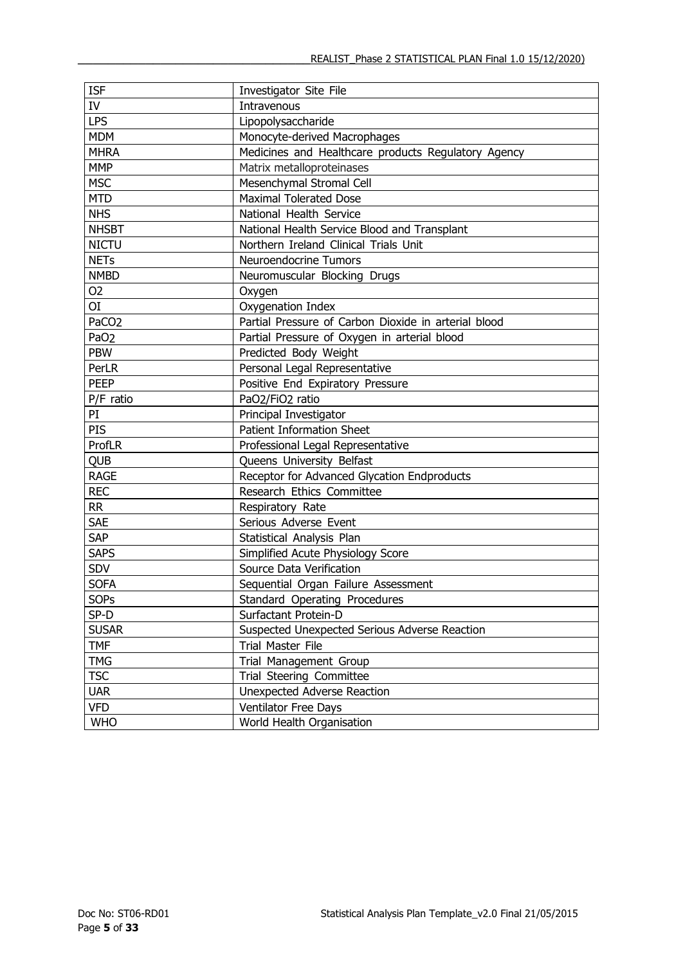| <b>ISF</b>        | Investigator Site File                               |
|-------------------|------------------------------------------------------|
| IV                | Intravenous                                          |
| <b>LPS</b>        | Lipopolysaccharide                                   |
| <b>MDM</b>        | Monocyte-derived Macrophages                         |
| <b>MHRA</b>       | Medicines and Healthcare products Regulatory Agency  |
| <b>MMP</b>        | Matrix metalloproteinases                            |
| <b>MSC</b>        | Mesenchymal Stromal Cell                             |
| <b>MTD</b>        | <b>Maximal Tolerated Dose</b>                        |
| <b>NHS</b>        | National Health Service                              |
| <b>NHSBT</b>      | National Health Service Blood and Transplant         |
| <b>NICTU</b>      | Northern Ireland Clinical Trials Unit                |
| <b>NETs</b>       | Neuroendocrine Tumors                                |
| <b>NMBD</b>       | Neuromuscular Blocking Drugs                         |
| O <sub>2</sub>    | Oxygen                                               |
| ΟI                | Oxygenation Index                                    |
| PaCO <sub>2</sub> | Partial Pressure of Carbon Dioxide in arterial blood |
| PaO <sub>2</sub>  | Partial Pressure of Oxygen in arterial blood         |
| <b>PBW</b>        | Predicted Body Weight                                |
| PerLR             | Personal Legal Representative                        |
| <b>PEEP</b>       | Positive End Expiratory Pressure                     |
| P/F ratio         | PaO2/FiO2 ratio                                      |
| PI                | Principal Investigator                               |
| PIS               | <b>Patient Information Sheet</b>                     |
| ProfLR            | Professional Legal Representative                    |
| <b>QUB</b>        | Queens University Belfast                            |
| <b>RAGE</b>       | Receptor for Advanced Glycation Endproducts          |
| <b>REC</b>        | Research Ethics Committee                            |
| <b>RR</b>         | Respiratory Rate                                     |
| <b>SAE</b>        | Serious Adverse Event                                |
| <b>SAP</b>        | Statistical Analysis Plan                            |
| <b>SAPS</b>       | Simplified Acute Physiology Score                    |
| SDV               | Source Data Verification                             |
| <b>SOFA</b>       | Sequential Organ Failure Assessment                  |
| <b>SOPs</b>       | Standard Operating Procedures                        |
| SP-D              | Surfactant Protein-D                                 |
| <b>SUSAR</b>      | Suspected Unexpected Serious Adverse Reaction        |
| <b>TMF</b>        | Trial Master File                                    |
| <b>TMG</b>        | Trial Management Group                               |
| <b>TSC</b>        | Trial Steering Committee                             |
| <b>UAR</b>        | Unexpected Adverse Reaction                          |
| <b>VFD</b>        | <b>Ventilator Free Days</b>                          |
| <b>WHO</b>        | World Health Organisation                            |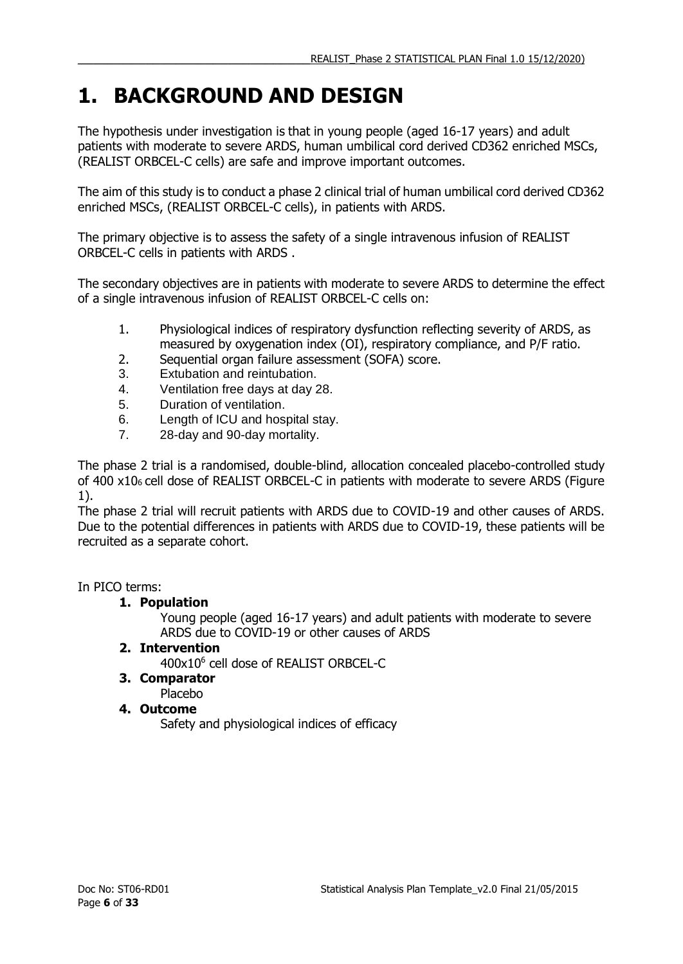## <span id="page-5-0"></span>**1. BACKGROUND AND DESIGN**

The hypothesis under investigation is that in young people (aged 16-17 years) and adult patients with moderate to severe ARDS, human umbilical cord derived CD362 enriched MSCs, (REALIST ORBCEL-C cells) are safe and improve important outcomes.

The aim of this study is to conduct a phase 2 clinical trial of human umbilical cord derived CD362 enriched MSCs, (REALIST ORBCEL-C cells), in patients with ARDS.

The primary objective is to assess the safety of a single intravenous infusion of REALIST ORBCEL-C cells in patients with ARDS .

The secondary objectives are in patients with moderate to severe ARDS to determine the effect of a single intravenous infusion of REALIST ORBCEL-C cells on:

- 1. Physiological indices of respiratory dysfunction reflecting severity of ARDS, as measured by oxygenation index (OI), respiratory compliance, and P/F ratio.
- 2. Sequential organ failure assessment (SOFA) score.
- 3. Extubation and reintubation.
- 4. Ventilation free days at day 28.
- 5. Duration of ventilation.
- 6. Length of ICU and hospital stay.
- 7. 28-day and 90-day mortality.

The phase 2 trial is a randomised, double-blind, allocation concealed placebo-controlled study of 400 x106 cell dose of REALIST ORBCEL-C in patients with moderate to severe ARDS (Figure 1).

The phase 2 trial will recruit patients with ARDS due to COVID-19 and other causes of ARDS. Due to the potential differences in patients with ARDS due to COVID-19, these patients will be recruited as a separate cohort.

In PICO terms:

### **1. Population**

Young people (aged 16-17 years) and adult patients with moderate to severe ARDS due to COVID-19 or other causes of ARDS

**2. Intervention**

400x10<sup>6</sup> cell dose of REALIST ORBCEL-C

- **3. Comparator** Placebo
- **4. Outcome**

Safety and physiological indices of efficacy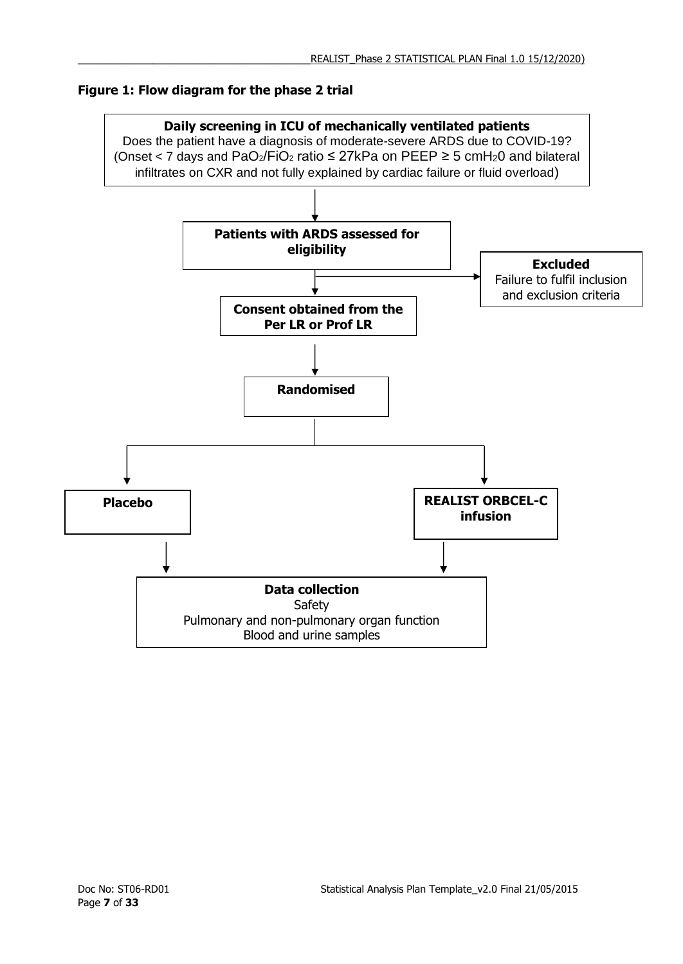### **Figure 1: Flow diagram for the phase 2 trial**

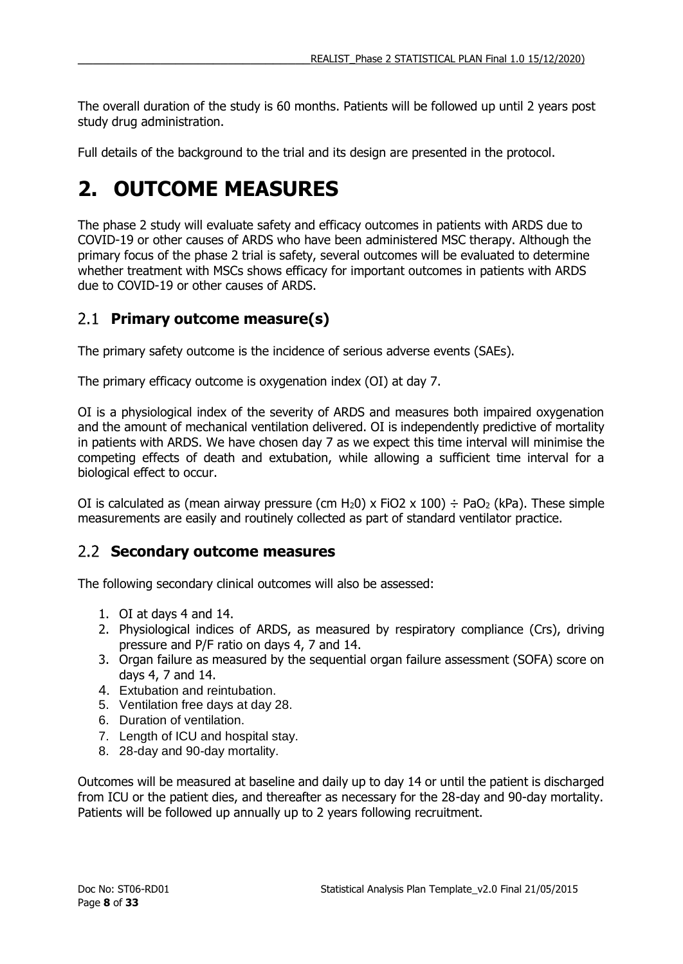The overall duration of the study is 60 months. Patients will be followed up until 2 years post study drug administration.

Full details of the background to the trial and its design are presented in the protocol.

## <span id="page-7-0"></span>**2. OUTCOME MEASURES**

The phase 2 study will evaluate safety and efficacy outcomes in patients with ARDS due to COVID-19 or other causes of ARDS who have been administered MSC therapy. Although the primary focus of the phase 2 trial is safety, several outcomes will be evaluated to determine whether treatment with MSCs shows efficacy for important outcomes in patients with ARDS due to COVID-19 or other causes of ARDS.

## <span id="page-7-1"></span>**Primary outcome measure(s)**

The primary safety outcome is the incidence of serious adverse events (SAEs).

The primary efficacy outcome is oxygenation index (OI) at day 7.

OI is a physiological index of the severity of ARDS and measures both impaired oxygenation and the amount of mechanical ventilation delivered. OI is independently predictive of mortality in patients with ARDS. We have chosen day 7 as we expect this time interval will minimise the competing effects of death and extubation, while allowing a sufficient time interval for a biological effect to occur.

OI is calculated as (mean airway pressure (cm H<sub>2</sub>0) x FiO2 x 100)  $\div$  PaO<sub>2</sub> (kPa). These simple measurements are easily and routinely collected as part of standard ventilator practice.

## <span id="page-7-2"></span>**Secondary outcome measures**

The following secondary clinical outcomes will also be assessed:

- 1. OI at days 4 and 14.
- 2. Physiological indices of ARDS, as measured by respiratory compliance (Crs), driving pressure and P/F ratio on days 4, 7 and 14.
- 3. Organ failure as measured by the sequential organ failure assessment (SOFA) score on days 4, 7 and 14.
- 4. Extubation and reintubation.
- 5. Ventilation free days at day 28.
- 6. Duration of ventilation.
- 7. Length of ICU and hospital stay.
- 8. 28-day and 90-day mortality.

Outcomes will be measured at baseline and daily up to day 14 or until the patient is discharged from ICU or the patient dies, and thereafter as necessary for the 28-day and 90-day mortality. Patients will be followed up annually up to 2 years following recruitment.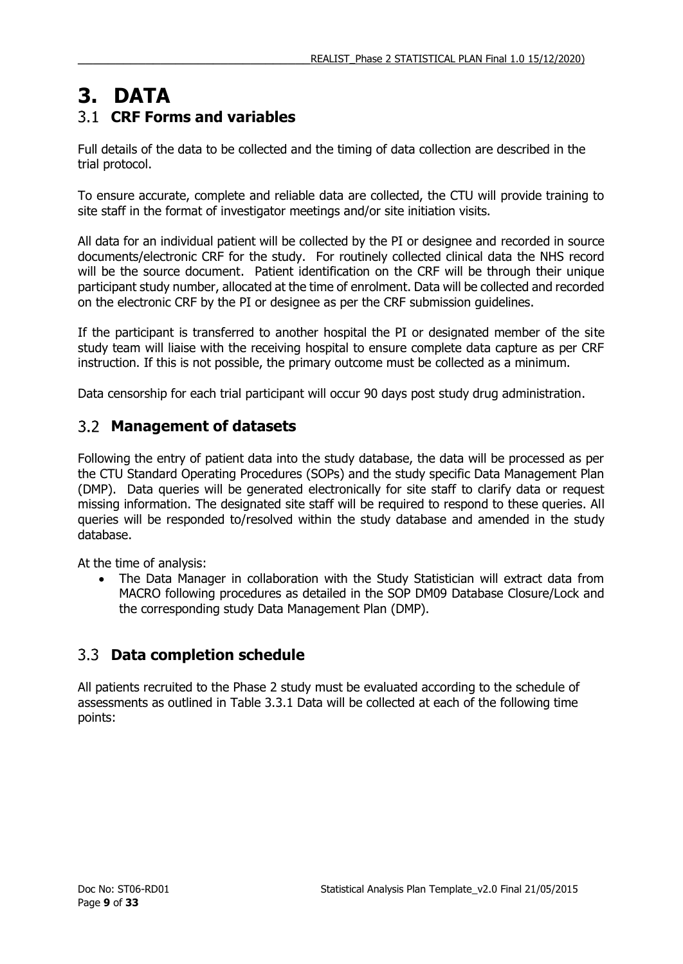## <span id="page-8-1"></span><span id="page-8-0"></span>**3. DATA CRF Forms and variables**

Full details of the data to be collected and the timing of data collection are described in the trial protocol.

To ensure accurate, complete and reliable data are collected, the CTU will provide training to site staff in the format of investigator meetings and/or site initiation visits.

All data for an individual patient will be collected by the PI or designee and recorded in source documents/electronic CRF for the study. For routinely collected clinical data the NHS record will be the source document. Patient identification on the CRF will be through their unique participant study number, allocated at the time of enrolment. Data will be collected and recorded on the electronic CRF by the PI or designee as per the CRF submission guidelines.

If the participant is transferred to another hospital the PI or designated member of the site study team will liaise with the receiving hospital to ensure complete data capture as per CRF instruction. If this is not possible, the primary outcome must be collected as a minimum.

<span id="page-8-2"></span>Data censorship for each trial participant will occur 90 days post study drug administration.

## **Management of datasets**

Following the entry of patient data into the study database, the data will be processed as per the CTU Standard Operating Procedures (SOPs) and the study specific Data Management Plan (DMP). Data queries will be generated electronically for site staff to clarify data or request missing information. The designated site staff will be required to respond to these queries. All queries will be responded to/resolved within the study database and amended in the study database.

At the time of analysis:

 The Data Manager in collaboration with the Study Statistician will extract data from MACRO following procedures as detailed in the SOP DM09 Database Closure/Lock and the corresponding study Data Management Plan (DMP).

## <span id="page-8-3"></span>**Data completion schedule**

All patients recruited to the Phase 2 study must be evaluated according to the schedule of assessments as outlined in Table 3.3.1 Data will be collected at each of the following time points: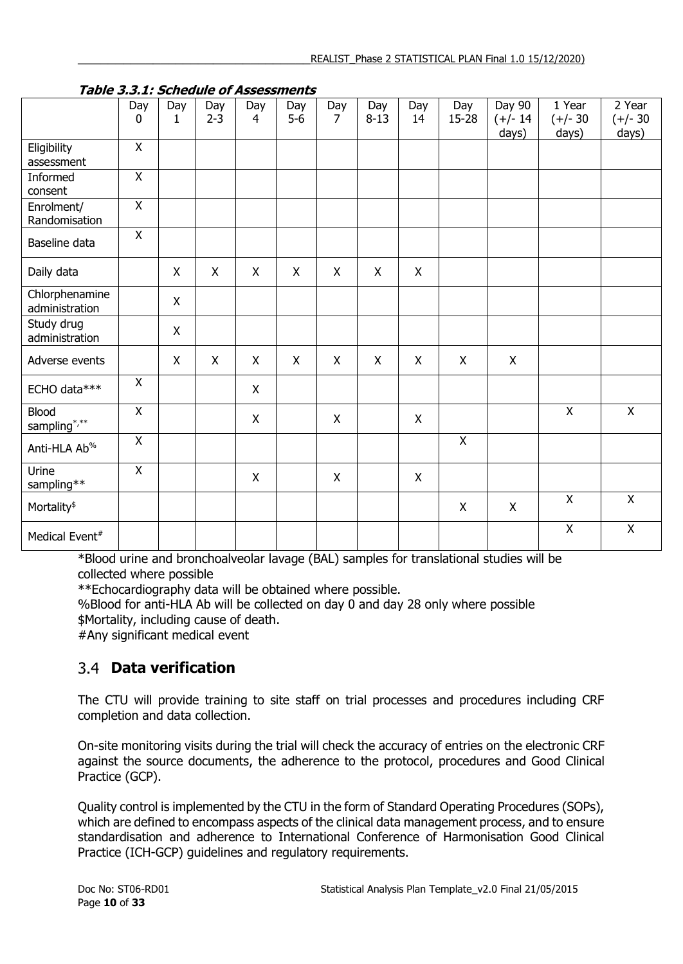| <i>Labic 3.3.1. Scribute of Assessments</i> |                    |          |                |                       |              |          |                 |           |                |                               |                               |                               |
|---------------------------------------------|--------------------|----------|----------------|-----------------------|--------------|----------|-----------------|-----------|----------------|-------------------------------|-------------------------------|-------------------------------|
|                                             | Day<br>$\mathbf 0$ | Day<br>1 | Day<br>$2 - 3$ | Day<br>$\overline{4}$ | Day<br>$5-6$ | Day<br>7 | Day<br>$8 - 13$ | Day<br>14 | Day<br>15-28   | Day 90<br>$(+/- 14)$<br>days) | 1 Year<br>$(+/- 30)$<br>days) | 2 Year<br>$(+/- 30)$<br>days) |
| Eligibility<br>assessment                   | $\mathsf{X}$       |          |                |                       |              |          |                 |           |                |                               |                               |                               |
| Informed<br>consent                         | $\overline{X}$     |          |                |                       |              |          |                 |           |                |                               |                               |                               |
| Enrolment/<br>Randomisation                 | $\overline{X}$     |          |                |                       |              |          |                 |           |                |                               |                               |                               |
| Baseline data                               | X                  |          |                |                       |              |          |                 |           |                |                               |                               |                               |
| Daily data                                  |                    | X        | X              | X                     | X            | X        | X               | X         |                |                               |                               |                               |
| Chlorphenamine<br>administration            |                    | X        |                |                       |              |          |                 |           |                |                               |                               |                               |
| Study drug<br>administration                |                    | X        |                |                       |              |          |                 |           |                |                               |                               |                               |
| Adverse events                              |                    | X        | X              | X                     | X            | X        | $\mathsf{X}$    | X         | X              | X                             |                               |                               |
| ECHO data***                                | X                  |          |                | X                     |              |          |                 |           |                |                               |                               |                               |
| <b>Blood</b><br>sampling*/**                | $\pmb{\mathsf{X}}$ |          |                | X                     |              | X        |                 | X         |                |                               | $\boldsymbol{\mathsf{X}}$     | $\pmb{\times}$                |
| Anti-HLA Ab <sup>%</sup>                    | $\overline{X}$     |          |                |                       |              |          |                 |           | $\overline{X}$ |                               |                               |                               |
| Urine<br>sampling**                         | $\mathsf{X}$       |          |                | X                     |              | X        |                 | X         |                |                               |                               |                               |
| Mortality <sup>\$</sup>                     |                    |          |                |                       |              |          |                 |           | $\mathsf X$    | $\pmb{\times}$                | $\mathsf{X}$                  | $\overline{X}$                |
| Medical Event <sup>#</sup>                  |                    |          |                |                       |              |          |                 |           |                |                               | $\mathsf X$                   | $\pmb{\mathsf{X}}$            |

### **Table 3.3.1: Schedule of Assessments**

\*Blood urine and bronchoalveolar lavage (BAL) samples for translational studies will be collected where possible

\*\*Echocardiography data will be obtained where possible.

%Blood for anti-HLA Ab will be collected on day 0 and day 28 only where possible \$Mortality, including cause of death.

<span id="page-9-0"></span>#Any significant medical event

## **Data verification**

The CTU will provide training to site staff on trial processes and procedures including CRF completion and data collection.

On-site monitoring visits during the trial will check the accuracy of entries on the electronic CRF against the source documents, the adherence to the protocol, procedures and Good Clinical Practice (GCP).

Quality control is implemented by the CTU in the form of Standard Operating Procedures (SOPs), which are defined to encompass aspects of the clinical data management process, and to ensure standardisation and adherence to International Conference of Harmonisation Good Clinical Practice (ICH-GCP) guidelines and regulatory requirements.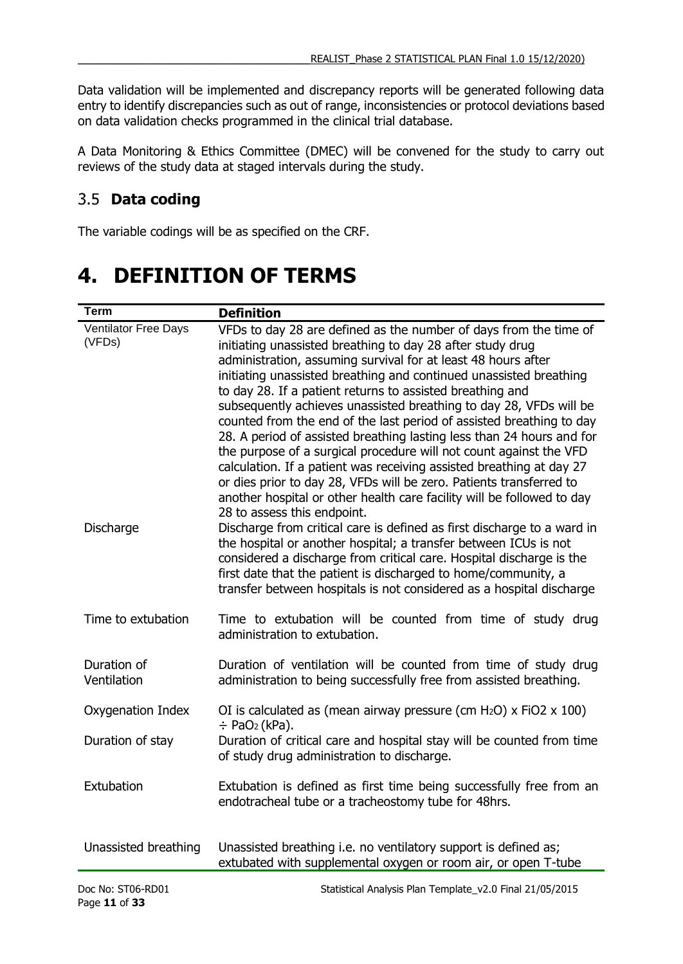Data validation will be implemented and discrepancy reports will be generated following data entry to identify discrepancies such as out of range, inconsistencies or protocol deviations based on data validation checks programmed in the clinical trial database.

A Data Monitoring & Ethics Committee (DMEC) will be convened for the study to carry out reviews of the study data at staged intervals during the study.

## <span id="page-10-0"></span>**Data coding**

The variable codings will be as specified on the CRF.

## <span id="page-10-1"></span>**4. DEFINITION OF TERMS**

| <b>Term</b>                           | <b>Definition</b>                                                                                                                                                                                                                                                                                                                                                                                                                                                                                                                                                                                                                                                                                                                                                                                                                                         |
|---------------------------------------|-----------------------------------------------------------------------------------------------------------------------------------------------------------------------------------------------------------------------------------------------------------------------------------------------------------------------------------------------------------------------------------------------------------------------------------------------------------------------------------------------------------------------------------------------------------------------------------------------------------------------------------------------------------------------------------------------------------------------------------------------------------------------------------------------------------------------------------------------------------|
| <b>Ventilator Free Days</b><br>(VFDs) | VFDs to day 28 are defined as the number of days from the time of<br>initiating unassisted breathing to day 28 after study drug<br>administration, assuming survival for at least 48 hours after<br>initiating unassisted breathing and continued unassisted breathing<br>to day 28. If a patient returns to assisted breathing and<br>subsequently achieves unassisted breathing to day 28, VFDs will be<br>counted from the end of the last period of assisted breathing to day<br>28. A period of assisted breathing lasting less than 24 hours and for<br>the purpose of a surgical procedure will not count against the VFD<br>calculation. If a patient was receiving assisted breathing at day 27<br>or dies prior to day 28, VFDs will be zero. Patients transferred to<br>another hospital or other health care facility will be followed to day |
| Discharge                             | 28 to assess this endpoint.<br>Discharge from critical care is defined as first discharge to a ward in<br>the hospital or another hospital; a transfer between ICUs is not<br>considered a discharge from critical care. Hospital discharge is the<br>first date that the patient is discharged to home/community, a<br>transfer between hospitals is not considered as a hospital discharge                                                                                                                                                                                                                                                                                                                                                                                                                                                              |
| Time to extubation                    | Time to extubation will be counted from time of study drug<br>administration to extubation.                                                                                                                                                                                                                                                                                                                                                                                                                                                                                                                                                                                                                                                                                                                                                               |
| Duration of<br>Ventilation            | Duration of ventilation will be counted from time of study drug<br>administration to being successfully free from assisted breathing.                                                                                                                                                                                                                                                                                                                                                                                                                                                                                                                                                                                                                                                                                                                     |
| Oxygenation Index                     | OI is calculated as (mean airway pressure (cm H <sub>2</sub> O) x FiO2 x 100)<br>$\div$ PaO <sub>2</sub> (kPa).                                                                                                                                                                                                                                                                                                                                                                                                                                                                                                                                                                                                                                                                                                                                           |
| Duration of stay                      | Duration of critical care and hospital stay will be counted from time<br>of study drug administration to discharge.                                                                                                                                                                                                                                                                                                                                                                                                                                                                                                                                                                                                                                                                                                                                       |
| Extubation                            | Extubation is defined as first time being successfully free from an<br>endotracheal tube or a tracheostomy tube for 48hrs.                                                                                                                                                                                                                                                                                                                                                                                                                                                                                                                                                                                                                                                                                                                                |
| Unassisted breathing                  | Unassisted breathing i.e. no ventilatory support is defined as;<br>extubated with supplemental oxygen or room air, or open T-tube                                                                                                                                                                                                                                                                                                                                                                                                                                                                                                                                                                                                                                                                                                                         |
|                                       |                                                                                                                                                                                                                                                                                                                                                                                                                                                                                                                                                                                                                                                                                                                                                                                                                                                           |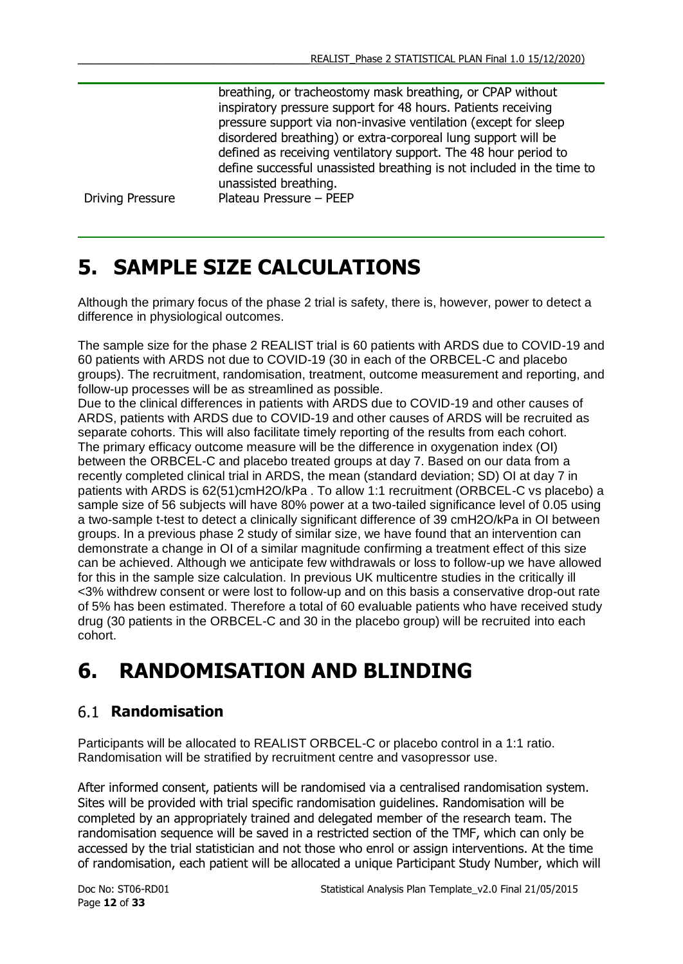breathing, or tracheostomy mask breathing, or CPAP without inspiratory pressure support for 48 hours. Patients receiving pressure support via non-invasive ventilation (except for sleep disordered breathing) or extra-corporeal lung support will be defined as receiving ventilatory support. The 48 hour period to define successful unassisted breathing is not included in the time to unassisted breathing.

Driving Pressure Plateau Pressure – PEEP

## <span id="page-11-0"></span>**5. SAMPLE SIZE CALCULATIONS**

Although the primary focus of the phase 2 trial is safety, there is, however, power to detect a difference in physiological outcomes.

The sample size for the phase 2 REALIST trial is 60 patients with ARDS due to COVID-19 and 60 patients with ARDS not due to COVID-19 (30 in each of the ORBCEL-C and placebo groups). The recruitment, randomisation, treatment, outcome measurement and reporting, and follow-up processes will be as streamlined as possible.

Due to the clinical differences in patients with ARDS due to COVID-19 and other causes of ARDS, patients with ARDS due to COVID-19 and other causes of ARDS will be recruited as separate cohorts. This will also facilitate timely reporting of the results from each cohort. The primary efficacy outcome measure will be the difference in oxygenation index (OI) between the ORBCEL-C and placebo treated groups at day 7. Based on our data from a recently completed clinical trial in ARDS, the mean (standard deviation; SD) OI at day 7 in patients with ARDS is 62(51)cmH2O/kPa . To allow 1:1 recruitment (ORBCEL-C vs placebo) a sample size of 56 subjects will have 80% power at a two-tailed significance level of 0.05 using a two-sample t-test to detect a clinically significant difference of 39 cmH2O/kPa in OI between groups. In a previous phase 2 study of similar size, we have found that an intervention can demonstrate a change in OI of a similar magnitude confirming a treatment effect of this size can be achieved. Although we anticipate few withdrawals or loss to follow-up we have allowed for this in the sample size calculation. In previous UK multicentre studies in the critically ill <3% withdrew consent or were lost to follow-up and on this basis a conservative drop-out rate of 5% has been estimated. Therefore a total of 60 evaluable patients who have received study drug (30 patients in the ORBCEL-C and 30 in the placebo group) will be recruited into each cohort.

## <span id="page-11-1"></span>**6. RANDOMISATION AND BLINDING**

## <span id="page-11-2"></span>**Randomisation**

Participants will be allocated to REALIST ORBCEL-C or placebo control in a 1:1 ratio. Randomisation will be stratified by recruitment centre and vasopressor use.

After informed consent, patients will be randomised via a centralised randomisation system. Sites will be provided with trial specific randomisation guidelines. Randomisation will be completed by an appropriately trained and delegated member of the research team. The randomisation sequence will be saved in a restricted section of the TMF, which can only be accessed by the trial statistician and not those who enrol or assign interventions. At the time of randomisation, each patient will be allocated a unique Participant Study Number, which will

Page **12** of **33**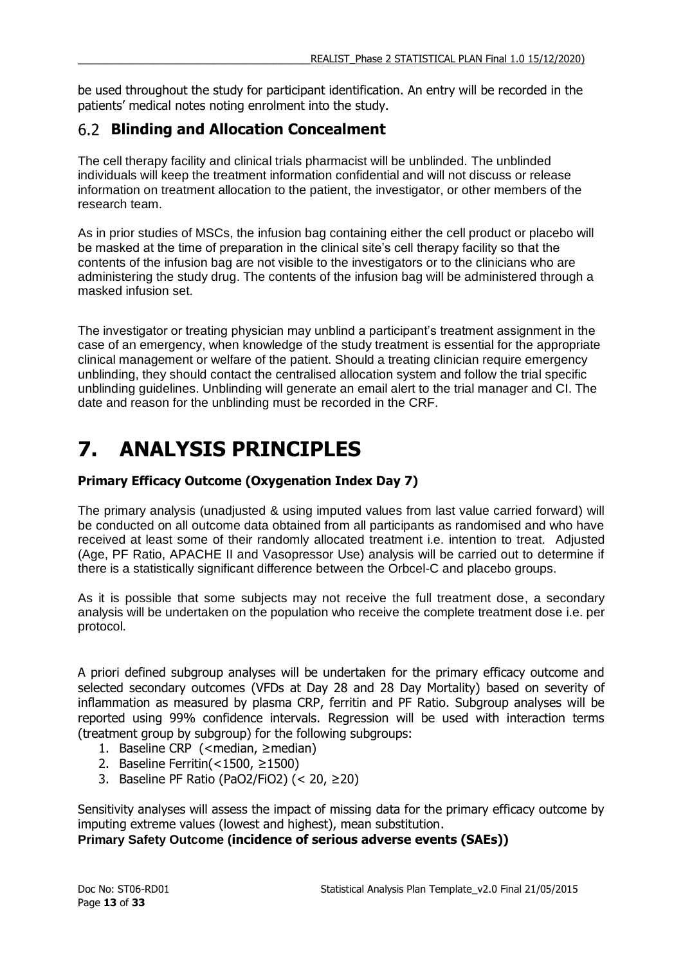be used throughout the study for participant identification. An entry will be recorded in the patients' medical notes noting enrolment into the study.

## <span id="page-12-0"></span>**Blinding and Allocation Concealment**

The cell therapy facility and clinical trials pharmacist will be unblinded. The unblinded individuals will keep the treatment information confidential and will not discuss or release information on treatment allocation to the patient, the investigator, or other members of the research team.

As in prior studies of MSCs, the infusion bag containing either the cell product or placebo will be masked at the time of preparation in the clinical site's cell therapy facility so that the contents of the infusion bag are not visible to the investigators or to the clinicians who are administering the study drug. The contents of the infusion bag will be administered through a masked infusion set.

The investigator or treating physician may unblind a participant's treatment assignment in the case of an emergency, when knowledge of the study treatment is essential for the appropriate clinical management or welfare of the patient. Should a treating clinician require emergency unblinding, they should contact the centralised allocation system and follow the trial specific unblinding guidelines. Unblinding will generate an email alert to the trial manager and CI. The date and reason for the unblinding must be recorded in the CRF.

# <span id="page-12-1"></span>**7. ANALYSIS PRINCIPLES**

### **Primary Efficacy Outcome (Oxygenation Index Day 7)**

The primary analysis (unadjusted & using imputed values from last value carried forward) will be conducted on all outcome data obtained from all participants as randomised and who have received at least some of their randomly allocated treatment i.e. intention to treat. Adjusted (Age, PF Ratio, APACHE II and Vasopressor Use) analysis will be carried out to determine if there is a statistically significant difference between the Orbcel-C and placebo groups.

As it is possible that some subjects may not receive the full treatment dose, a secondary analysis will be undertaken on the population who receive the complete treatment dose i.e. per protocol.

A priori defined subgroup analyses will be undertaken for the primary efficacy outcome and selected secondary outcomes (VFDs at Day 28 and 28 Day Mortality) based on severity of inflammation as measured by plasma CRP, ferritin and PF Ratio. Subgroup analyses will be reported using 99% confidence intervals. Regression will be used with interaction terms (treatment group by subgroup) for the following subgroups:

- 1. Baseline CRP (<median, ≥median)
- 2. Baseline Ferritin(<1500, ≥1500)
- 3. Baseline PF Ratio (PaO2/FiO2) (< 20,  $\geq$ 20)

Sensitivity analyses will assess the impact of missing data for the primary efficacy outcome by imputing extreme values (lowest and highest), mean substitution.

**Primary Safety Outcome (incidence of serious adverse events (SAEs))**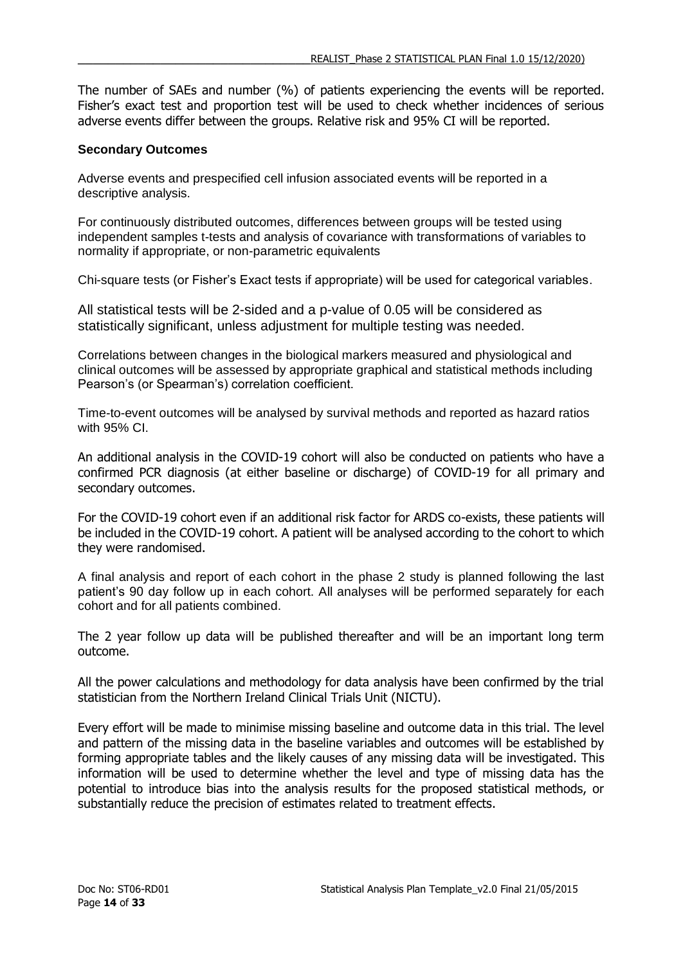The number of SAEs and number (%) of patients experiencing the events will be reported. Fisher's exact test and proportion test will be used to check whether incidences of serious adverse events differ between the groups. Relative risk and 95% CI will be reported.

### **Secondary Outcomes**

Adverse events and prespecified cell infusion associated events will be reported in a descriptive analysis.

For continuously distributed outcomes, differences between groups will be tested using independent samples t-tests and analysis of covariance with transformations of variables to normality if appropriate, or non-parametric equivalents

Chi-square tests (or Fisher's Exact tests if appropriate) will be used for categorical variables.

All statistical tests will be 2-sided and a p-value of 0.05 will be considered as statistically significant, unless adjustment for multiple testing was needed.

Correlations between changes in the biological markers measured and physiological and clinical outcomes will be assessed by appropriate graphical and statistical methods including Pearson's (or Spearman's) correlation coefficient.

Time-to-event outcomes will be analysed by survival methods and reported as hazard ratios with 95% CI.

An additional analysis in the COVID-19 cohort will also be conducted on patients who have a confirmed PCR diagnosis (at either baseline or discharge) of COVID-19 for all primary and secondary outcomes.

For the COVID-19 cohort even if an additional risk factor for ARDS co-exists, these patients will be included in the COVID-19 cohort. A patient will be analysed according to the cohort to which they were randomised.

A final analysis and report of each cohort in the phase 2 study is planned following the last patient's 90 day follow up in each cohort. All analyses will be performed separately for each cohort and for all patients combined.

The 2 year follow up data will be published thereafter and will be an important long term outcome.

All the power calculations and methodology for data analysis have been confirmed by the trial statistician from the Northern Ireland Clinical Trials Unit (NICTU).

Every effort will be made to minimise missing baseline and outcome data in this trial. The level and pattern of the missing data in the baseline variables and outcomes will be established by forming appropriate tables and the likely causes of any missing data will be investigated. This information will be used to determine whether the level and type of missing data has the potential to introduce bias into the analysis results for the proposed statistical methods, or substantially reduce the precision of estimates related to treatment effects.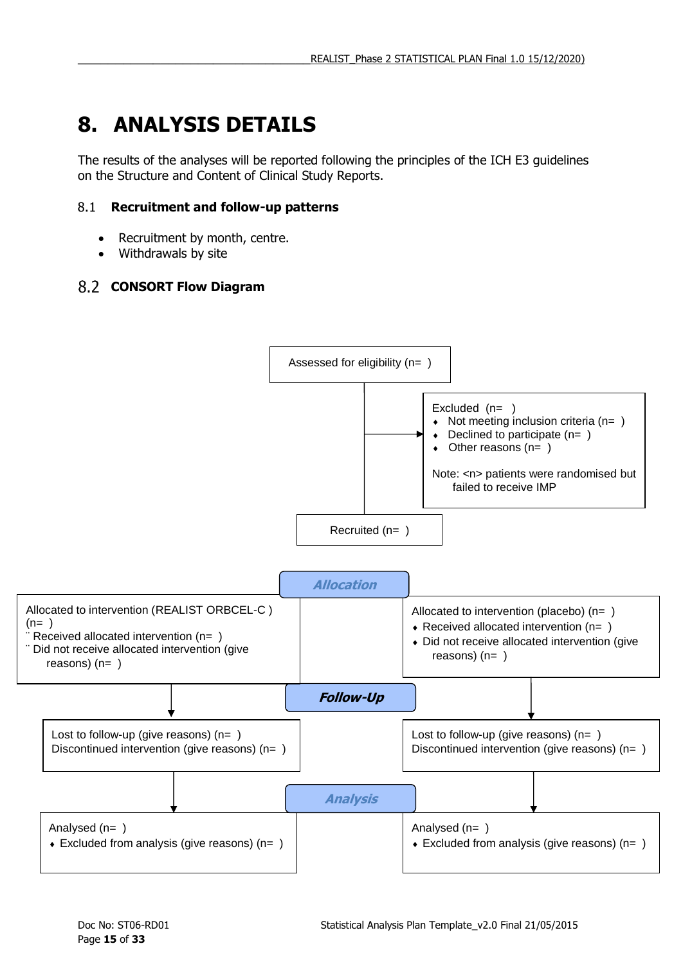# <span id="page-14-0"></span>**8. ANALYSIS DETAILS**

The results of the analyses will be reported following the principles of the ICH E3 guidelines on the Structure and Content of Clinical Study Reports.

### <span id="page-14-1"></span>**Recruitment and follow-up patterns**

- Recruitment by month, centre.
- <span id="page-14-2"></span>• Withdrawals by site

## **CONSORT Flow Diagram**

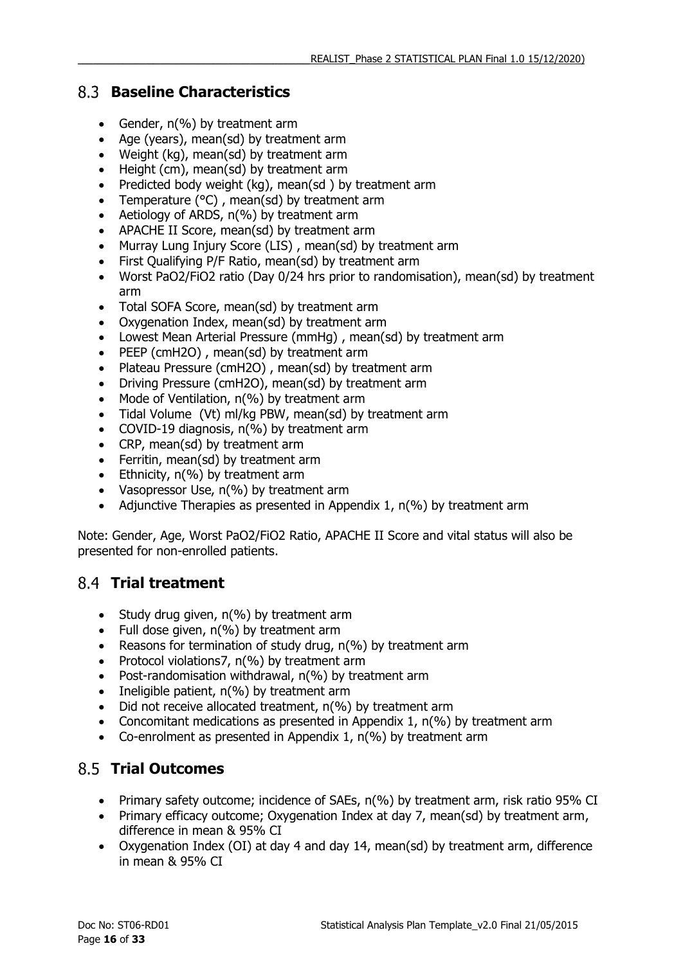### <span id="page-15-0"></span>**Baseline Characteristics**

- Gender, n(%) by treatment arm
- Age (years), mean(sd) by treatment arm
- Weight (kg), mean(sd) by treatment arm
- Height (cm), mean(sd) by treatment arm
- Predicted body weight (kg), mean(sd) by treatment arm
- Temperature  $(^{\circ}C)$ , mean(sd) by treatment arm
- Aetiology of ARDS, n(%) by treatment arm
- APACHE II Score, mean(sd) by treatment arm
- Murray Lung Injury Score (LIS) , mean(sd) by treatment arm
- First Qualifying P/F Ratio, mean(sd) by treatment arm
- Worst PaO2/FiO2 ratio (Day 0/24 hrs prior to randomisation), mean(sd) by treatment arm
- Total SOFA Score, mean(sd) by treatment arm
- Oxygenation Index, mean(sd) by treatment arm
- Lowest Mean Arterial Pressure (mmHg) , mean(sd) by treatment arm
- PEEP (cmH2O), mean(sd) by treatment arm
- Plateau Pressure (cmH2O), mean(sd) by treatment arm
- Driving Pressure (cmH2O), mean(sd) by treatment arm
- $\bullet$  Mode of Ventilation,  $n\ll 0$  by treatment arm
- Tidal Volume (Vt) ml/kg PBW, mean(sd) by treatment arm
- COVID-19 diagnosis, n(%) by treatment arm
- CRP, mean(sd) by treatment arm
- Ferritin, mean(sd) by treatment arm
- Ethnicity, n(%) by treatment arm
- Vasopressor Use, n(%) by treatment arm
- Adjunctive Therapies as presented in Appendix 1,  $n$ (%) by treatment arm

Note: Gender, Age, Worst PaO2/FiO2 Ratio, APACHE II Score and vital status will also be presented for non-enrolled patients.

### <span id="page-15-1"></span>**Trial treatment**

- Study drug given,  $n(\%)$  by treatment arm
- Full dose given,  $n$ (%) by treatment arm
- Reasons for termination of study drug, n(%) by treatment arm
- Protocol violations7, n(%) by treatment arm
- Post-randomisation withdrawal, n(%) by treatment arm
- $\bullet$  Ineligible patient, n(%) by treatment arm
- Did not receive allocated treatment, n(%) by treatment arm
- Concomitant medications as presented in Appendix 1, n(%) by treatment arm
- Co-enrolment as presented in Appendix 1, n(%) by treatment arm

## <span id="page-15-2"></span>**Trial Outcomes**

- Primary safety outcome; incidence of SAEs, n(%) by treatment arm, risk ratio 95% CI
- Primary efficacy outcome; Oxygenation Index at day 7, mean(sd) by treatment arm, difference in mean & 95% CI
- Oxygenation Index (OI) at day 4 and day 14, mean(sd) by treatment arm, difference in mean & 95% CI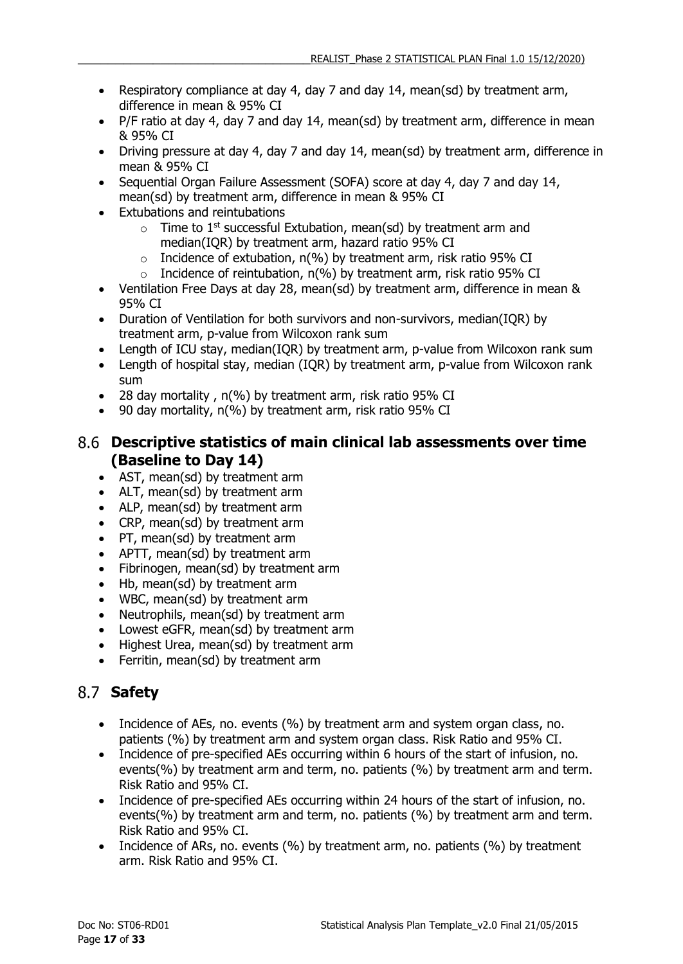- Respiratory compliance at day 4, day 7 and day 14, mean(sd) by treatment arm, difference in mean & 95% CI
- P/F ratio at day 4, day 7 and day 14, mean(sd) by treatment arm, difference in mean & 95% CI
- Driving pressure at day 4, day 7 and day 14, mean(sd) by treatment arm, difference in mean & 95% CI
- Sequential Organ Failure Assessment (SOFA) score at day 4, day 7 and day 14, mean(sd) by treatment arm, difference in mean & 95% CI
- Extubations and reintubations
	- $\circ$  Time to 1<sup>st</sup> successful Extubation, mean(sd) by treatment arm and median(IQR) by treatment arm, hazard ratio 95% CI
	- $\circ$  Incidence of extubation, n(%) by treatment arm, risk ratio 95% CI
	- $\circ$  Incidence of reintubation, n(%) by treatment arm, risk ratio 95% CI
- Ventilation Free Days at day 28, mean(sd) by treatment arm, difference in mean & 95% CI
- Duration of Ventilation for both survivors and non-survivors, median(IQR) by treatment arm, p-value from Wilcoxon rank sum
- Length of ICU stay, median(IQR) by treatment arm, p-value from Wilcoxon rank sum
- Length of hospital stay, median (IQR) by treatment arm, p-value from Wilcoxon rank sum
- 28 day mortality , n(%) by treatment arm, risk ratio 95% CI
- 90 day mortality, n(%) by treatment arm, risk ratio 95% CI

### <span id="page-16-0"></span>**Descriptive statistics of main clinical lab assessments over time (Baseline to Day 14)**

- AST, mean(sd) by treatment arm
- ALT, mean(sd) by treatment arm
- ALP, mean(sd) by treatment arm
- CRP, mean(sd) by treatment arm
- PT, mean(sd) by treatment arm
- APTT, mean(sd) by treatment arm
- Fibrinogen, mean(sd) by treatment arm
- Hb, mean(sd) by treatment arm
- WBC, mean(sd) by treatment arm
- Neutrophils, mean(sd) by treatment arm
- Lowest eGFR, mean(sd) by treatment arm
- Highest Urea, mean(sd) by treatment arm
- Ferritin, mean(sd) by treatment arm

## <span id="page-16-1"></span>**Safety**

- Incidence of AEs, no. events (%) by treatment arm and system organ class, no. patients (%) by treatment arm and system organ class. Risk Ratio and 95% CI.
- Incidence of pre-specified AEs occurring within 6 hours of the start of infusion, no. events(%) by treatment arm and term, no. patients (%) by treatment arm and term. Risk Ratio and 95% CI.
- Incidence of pre-specified AEs occurring within 24 hours of the start of infusion, no. events(%) by treatment arm and term, no. patients (%) by treatment arm and term. Risk Ratio and 95% CI.
- Incidence of ARs, no. events (%) by treatment arm, no. patients (%) by treatment arm. Risk Ratio and 95% CI.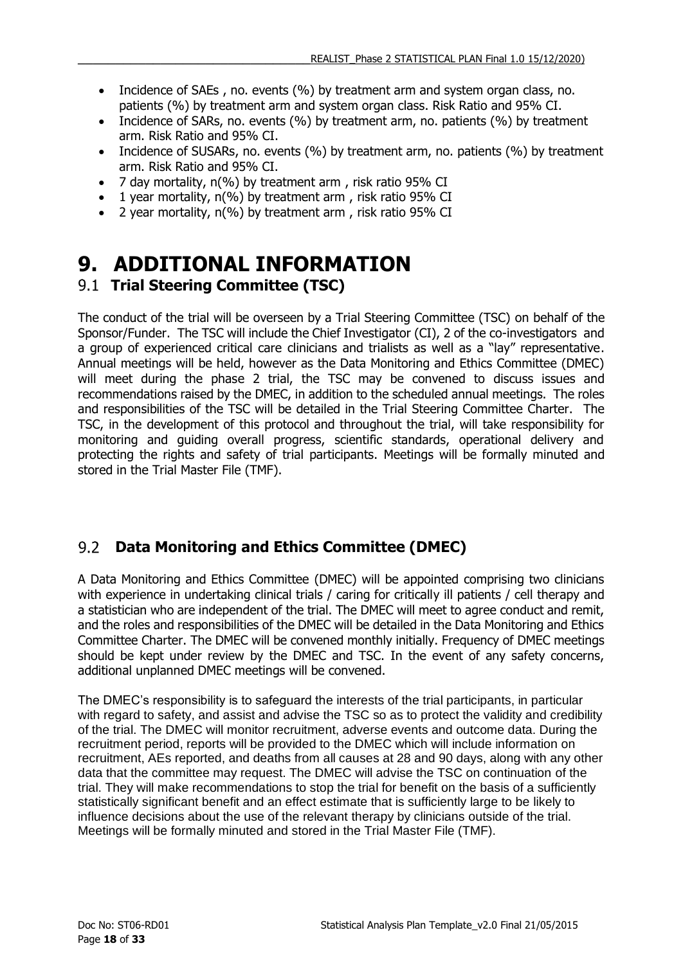- Incidence of SAEs, no. events (%) by treatment arm and system organ class, no. patients (%) by treatment arm and system organ class. Risk Ratio and 95% CI.
- Incidence of SARs, no. events (%) by treatment arm, no. patients (%) by treatment arm. Risk Ratio and 95% CI.
- Incidence of SUSARs, no. events (%) by treatment arm, no. patients (%) by treatment arm. Risk Ratio and 95% CI.
- 7 day mortality, n(%) by treatment arm , risk ratio 95% CI
- 1 year mortality, n(%) by treatment arm, risk ratio 95% CI
- 2 year mortality, n(%) by treatment arm , risk ratio 95% CI

## <span id="page-17-1"></span><span id="page-17-0"></span>**9. ADDITIONAL INFORMATION Trial Steering Committee (TSC)**

The conduct of the trial will be overseen by a Trial Steering Committee (TSC) on behalf of the Sponsor/Funder. The TSC will include the Chief Investigator (CI), 2 of the co-investigators and a group of experienced critical care clinicians and trialists as well as a "lay" representative. Annual meetings will be held, however as the Data Monitoring and Ethics Committee (DMEC) will meet during the phase 2 trial, the TSC may be convened to discuss issues and recommendations raised by the DMEC, in addition to the scheduled annual meetings. The roles and responsibilities of the TSC will be detailed in the Trial Steering Committee Charter. The TSC, in the development of this protocol and throughout the trial, will take responsibility for monitoring and guiding overall progress, scientific standards, operational delivery and protecting the rights and safety of trial participants. Meetings will be formally minuted and stored in the Trial Master File (TMF).

#### <span id="page-17-2"></span> $9.2$ **Data Monitoring and Ethics Committee (DMEC)**

A Data Monitoring and Ethics Committee (DMEC) will be appointed comprising two clinicians with experience in undertaking clinical trials / caring for critically ill patients / cell therapy and a statistician who are independent of the trial. The DMEC will meet to agree conduct and remit, and the roles and responsibilities of the DMEC will be detailed in the Data Monitoring and Ethics Committee Charter. The DMEC will be convened monthly initially. Frequency of DMEC meetings should be kept under review by the DMEC and TSC. In the event of any safety concerns, additional unplanned DMEC meetings will be convened.

The DMEC's responsibility is to safeguard the interests of the trial participants, in particular with regard to safety, and assist and advise the TSC so as to protect the validity and credibility of the trial. The DMEC will monitor recruitment, adverse events and outcome data. During the recruitment period, reports will be provided to the DMEC which will include information on recruitment, AEs reported, and deaths from all causes at 28 and 90 days, along with any other data that the committee may request. The DMEC will advise the TSC on continuation of the trial. They will make recommendations to stop the trial for benefit on the basis of a sufficiently statistically significant benefit and an effect estimate that is sufficiently large to be likely to influence decisions about the use of the relevant therapy by clinicians outside of the trial. Meetings will be formally minuted and stored in the Trial Master File (TMF).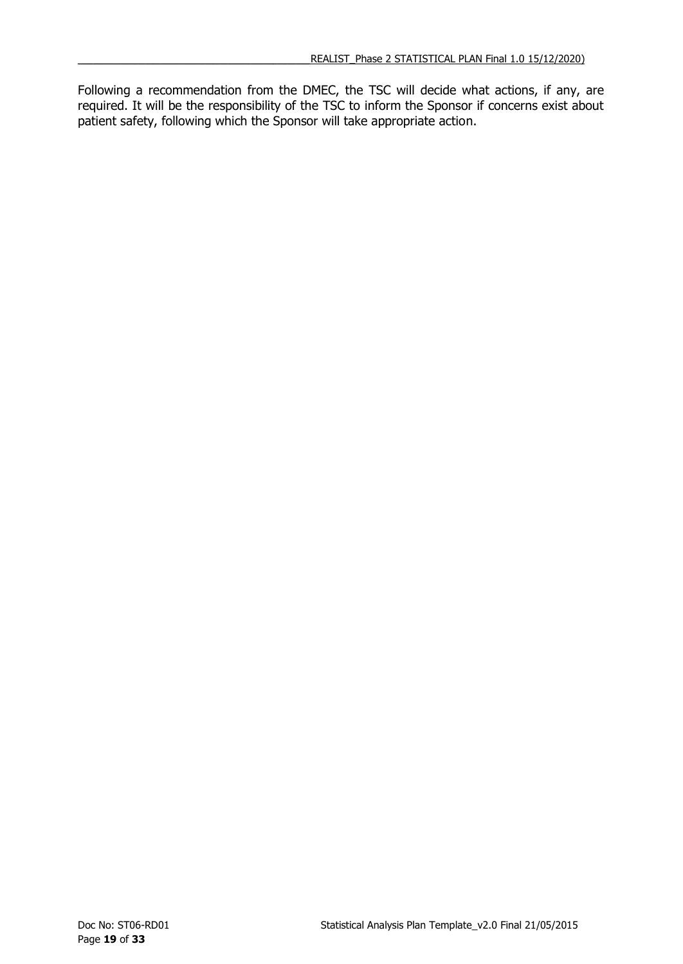Following a recommendation from the DMEC, the TSC will decide what actions, if any, are required. It will be the responsibility of the TSC to inform the Sponsor if concerns exist about patient safety, following which the Sponsor will take appropriate action.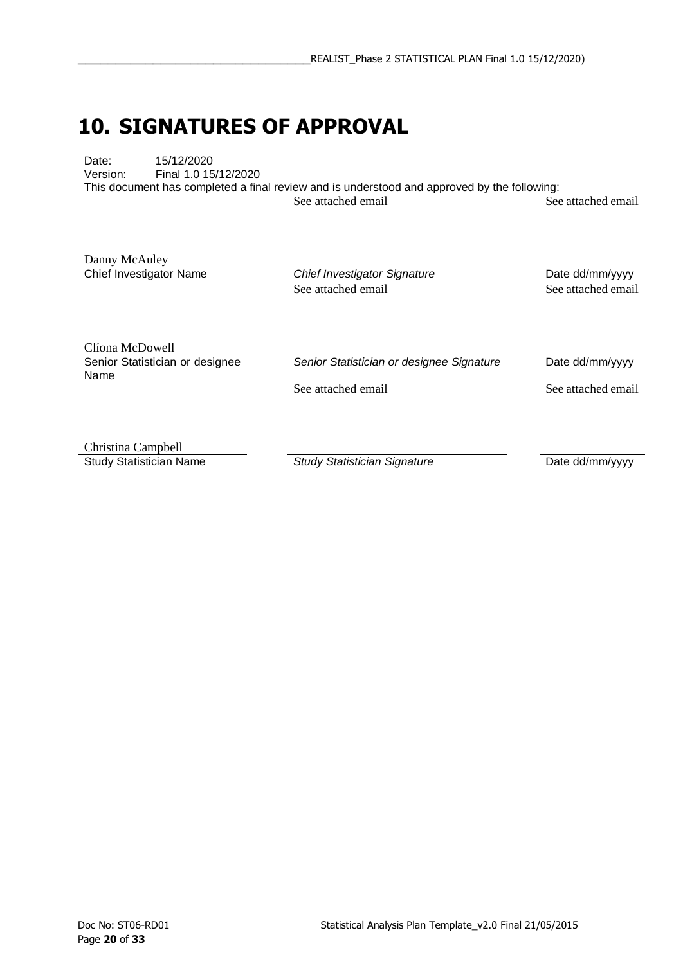## <span id="page-19-0"></span>**10. SIGNATURES OF APPROVAL**

Date: 15/12/2020<br>Version: Final 1.0 15 Final 1.0 15/12/2020 This document has completed a final review and is understood and approved by the following: See attached email See attached email

Danny McAuley

**Chief Investigator Name Chief Investigator Signature Date dd/mm/yyyy** See attached email See attached email

Clíona McDowell Senior Statistician or designee Name

**Senior Statistician or designee Signature** Date dd/mm/yyyy

See attached email See attached email

Christina Campbell

**Study Statistician Name** *Study Statistician Signature* Date dd/mm/yyyy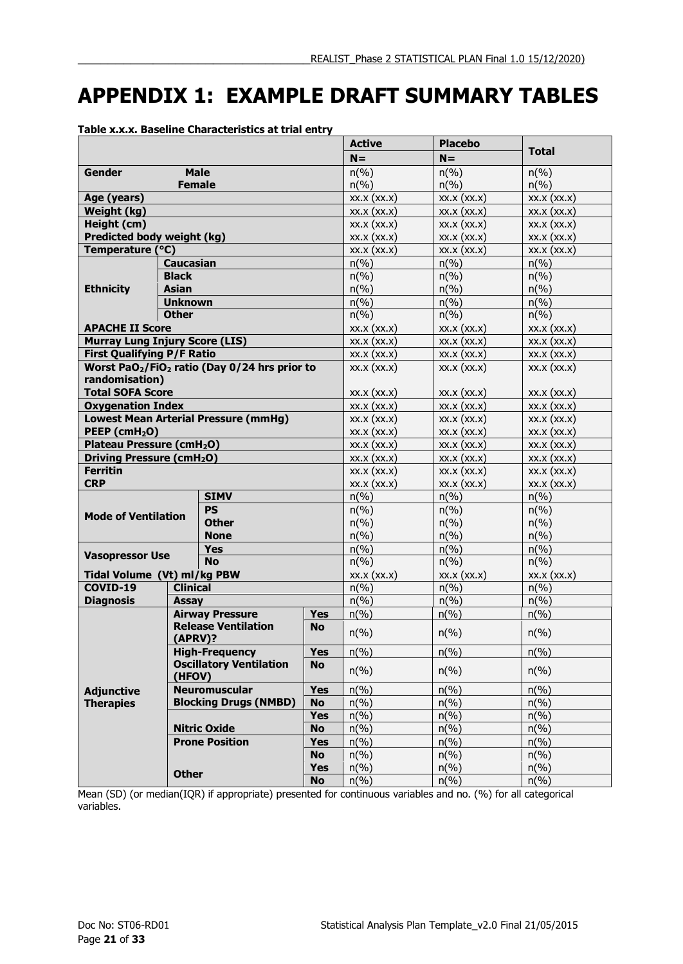## <span id="page-20-0"></span>**APPENDIX 1: EXAMPLE DRAFT SUMMARY TABLES**

|                                            |                  |                                                                       | <b>Active</b> | <b>Placebo</b>              |                             |                             |
|--------------------------------------------|------------------|-----------------------------------------------------------------------|---------------|-----------------------------|-----------------------------|-----------------------------|
|                                            |                  |                                                                       |               |                             | $N =$                       | <b>Total</b>                |
| <b>Gender</b>                              | <b>Male</b>      |                                                                       |               | $n(\%)$                     | $n(\%)$                     | $n(\%)$                     |
|                                            | <b>Female</b>    |                                                                       |               | $n\left(\frac{9}{6}\right)$ | $n\left(\%\right)$          | $n\left(\frac{9}{6}\right)$ |
| Age (years)                                |                  |                                                                       |               | XX.X (XX.X)                 | XX.X (XX.X)                 | XX.X (XX.X)                 |
| Weight (kg)                                |                  |                                                                       |               | XX.X (XX.X)                 | XX.X (XX.X)                 | XX.X (XX.X)                 |
| Height (cm)                                |                  |                                                                       |               | XX.X (XX.X)                 | $XX.X$ $(XX.X)$             | $XX.X$ $(XX.X)$             |
| Predicted body weight (kg)                 |                  |                                                                       |               | XX.X (XX.X)                 | XX.X (XX.X)                 | XX.X (XX.X)                 |
| Temperature (°C)                           |                  |                                                                       |               | XX.X (XX.X)                 | XX.X (XX.X)                 | XX.X (XX.X)                 |
|                                            | <b>Caucasian</b> |                                                                       |               | $n(\%)$                     | $n(\%)$                     | $n(\%)$                     |
|                                            | <b>Black</b>     |                                                                       |               | $n\left(\%\right)$          | $n(\%)$                     | $n(\%)$                     |
| <b>Ethnicity</b>                           | <b>Asian</b>     |                                                                       |               | $n\left(\%\right)$          | $n(\%)$                     | $n\left(\frac{9}{6}\right)$ |
|                                            | <b>Unknown</b>   |                                                                       |               | $n(\%)$                     | $n\left(\%\right)$          | $n(\%)$                     |
|                                            | <b>Other</b>     |                                                                       |               | $n\left(\%\right)$          | $n\left(\%\right)$          | $n\left(\frac{9}{6}\right)$ |
| <b>APACHE II Score</b>                     |                  |                                                                       |               | $XX.X$ $(XX.X)$             | XX.X (XX.X)                 | XX.X (XX.X)                 |
| <b>Murray Lung Injury Score (LIS)</b>      |                  |                                                                       |               | XX.X (XX.X)                 | XX.X (XX.X)                 | XX.X (XX.X)                 |
| <b>First Qualifying P/F Ratio</b>          |                  |                                                                       |               | XX.X (XX.X)                 | XX.X (XX.X)                 | XX.X (XX.X)                 |
| randomisation)                             |                  | Worst PaO <sub>2</sub> /FiO <sub>2</sub> ratio (Day 0/24 hrs prior to |               | XX.X (XX.X)                 | XX.X (XX.X)                 | XX.X (XX.X)                 |
| <b>Total SOFA Score</b>                    |                  |                                                                       |               | XX.X (XX.X)                 | XX.X (XX.X)                 | XX.X (XX.X)                 |
| <b>Oxygenation Index</b>                   |                  |                                                                       |               | XX.X (XX.X)                 | XX.X (XX.X)                 | XX.X (XX.X)                 |
|                                            |                  | <b>Lowest Mean Arterial Pressure (mmHg)</b>                           |               | XX.X (XX.X)                 | XX.X (XX.X)                 | XX.X (XX.X)                 |
| PEEP (cmH <sub>2</sub> O)                  |                  |                                                                       |               | XX.X (XX.X)                 | XX.X (XX.X)                 | XX.X (XX.X)                 |
| Plateau Pressure (cmH <sub>2</sub> O)      |                  |                                                                       |               | XX.X (XX.X)                 | $XX.X$ $(XX.X)$             | $XX.X$ $(XX.X)$             |
| <b>Driving Pressure (cmH<sub>2</sub>O)</b> |                  |                                                                       |               | XX.X (XX.X)                 | $XX.X$ $(XX.X)$             | $XX.X$ $(XX.X)$             |
| <b>Ferritin</b>                            |                  |                                                                       |               | $XX.X$ $(XX.X)$             | $XX.X$ $(XX.X)$             | XX.X (XX.X)                 |
| <b>CRP</b>                                 |                  |                                                                       |               | XX.X (XX.X)                 | XX.X (XX.X)                 | XX.X (XX.X)                 |
|                                            |                  | <b>SIMV</b>                                                           |               | $n\left(\%\right)$          | $n\left(\frac{9}{6}\right)$ | $n(\%)$                     |
|                                            |                  | <b>PS</b>                                                             |               | $n\left(\%\right)$          | $n(\%)$                     | $n(\%)$                     |
| <b>Mode of Ventilation</b>                 |                  | <b>Other</b>                                                          |               | $n\left(\%\right)$          | $n\left(\%\right)$          | $n\left(\frac{9}{6}\right)$ |
|                                            |                  | <b>None</b>                                                           |               | $n(\%)$                     | $n(\%)$                     | $n(\%)$                     |
|                                            |                  | <b>Yes</b>                                                            |               | $n\left(\frac{9}{6}\right)$ | $n\left(\%\right)$          | $n(\%)$                     |
| <b>Vasopressor Use</b>                     |                  | <b>No</b>                                                             |               | $n\left(\frac{9}{6}\right)$ | $n\left(\%\right)$          | $n(\%)$                     |
| Tidal Volume (Vt) ml/kg PBW                |                  |                                                                       |               | XX.X (XX.X)                 | XX.X (XX.X)                 | XX.X (XX.X)                 |
| COVID-19                                   | <b>Clinical</b>  |                                                                       |               | $n\left(\frac{9}{6}\right)$ | $n(\%)$                     | $n(\%)$                     |
| <b>Diagnosis</b>                           | Assay            |                                                                       |               | $n\left(\%\right)$          | $n(\%)$                     | $n(\%)$                     |
|                                            |                  | <b>Airway Pressure</b>                                                | <b>Yes</b>    | $n\left(\frac{9}{6}\right)$ | $n\left(\frac{9}{6}\right)$ | $n\left(\frac{9}{6}\right)$ |
|                                            | $(APRV)$ ?       | <b>Release Ventilation</b>                                            | <b>No</b>     | $n\left(\frac{0}{0}\right)$ | $n(\%)$                     | $n\left(\frac{9}{6}\right)$ |
|                                            |                  | <b>High-Frequency</b>                                                 | Yes           | $n\left(\frac{9}{6}\right)$ | $n\left(\frac{9}{6}\right)$ | $n(\%)$                     |
|                                            | (HFOV)           | <b>Oscillatory Ventilation</b>                                        | <b>No</b>     | $n(\%)$                     | $n\left(\frac{9}{6}\right)$ | $n(\%)$                     |
| <b>Adjunctive</b>                          |                  | <b>Neuromuscular</b>                                                  | <b>Yes</b>    | $n(\%)$                     | $n\left(\frac{9}{6}\right)$ | $n(\%)$                     |
| <b>Therapies</b>                           |                  | <b>Blocking Drugs (NMBD)</b>                                          | <b>No</b>     | $n(\%)$                     | $n\left(\frac{9}{6}\right)$ | $n\left(\frac{9}{6}\right)$ |
|                                            |                  |                                                                       | <b>Yes</b>    | $n(\%)$                     | $n\left(\frac{9}{6}\right)$ | $n(\%)$                     |
|                                            |                  | <b>Nitric Oxide</b>                                                   | <b>No</b>     | $n(\%)$                     | $n\left(\%\right)$          | $n\left(\%\right)$          |
|                                            |                  | <b>Prone Position</b>                                                 | <b>Yes</b>    | $n\left(\%\right)$          | $n\left(\%\right)$          | $n(\%)$                     |
|                                            |                  |                                                                       | <b>No</b>     | $n\left(\frac{9}{6}\right)$ | $n\left(\frac{9}{6}\right)$ | $n\left(\frac{9}{6}\right)$ |
|                                            |                  |                                                                       | <b>Yes</b>    | $n(\%)$                     | $n\left(\%\right)$          | $n\left(\frac{9}{6}\right)$ |
|                                            | <b>Other</b>     |                                                                       | <b>No</b>     | $n\left(\frac{9}{6}\right)$ | $n(\%)$                     | $n(\%)$                     |

**Table x.x.x. Baseline Characteristics at trial entry**

Mean (SD) (or median(IQR) if appropriate) presented for continuous variables and no. (%) for all categorical variables.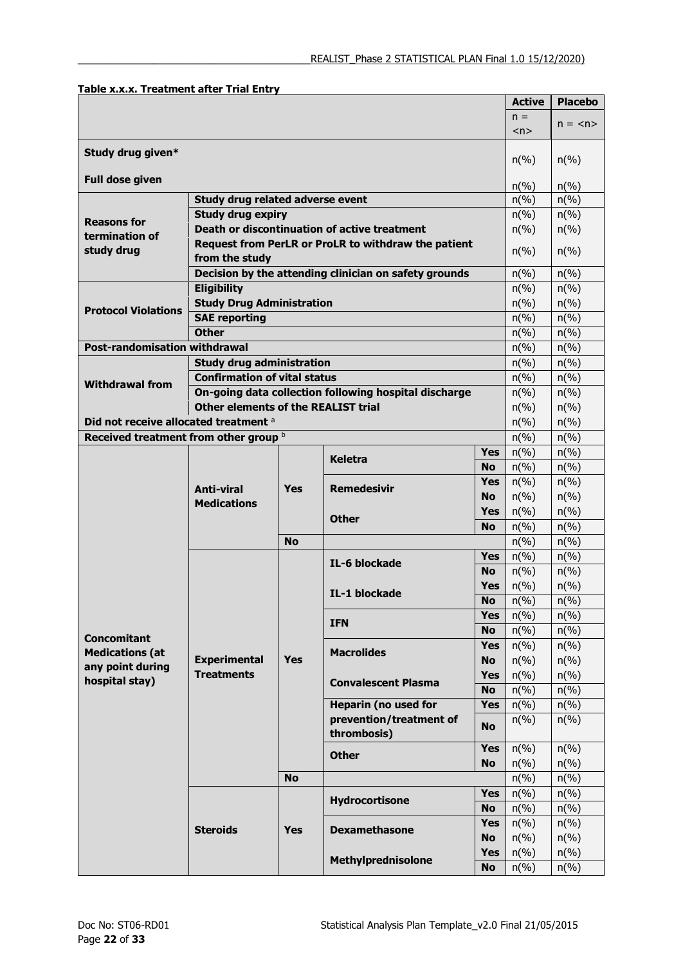|                                       |                                                       |                    |                                                       |                    | <b>Active</b>                            | <b>Placebo</b>              |
|---------------------------------------|-------------------------------------------------------|--------------------|-------------------------------------------------------|--------------------|------------------------------------------|-----------------------------|
|                                       |                                                       |                    |                                                       |                    | $n =$                                    | $n = \langle n \rangle$     |
|                                       |                                                       |                    |                                                       |                    | < n >                                    |                             |
| Study drug given*                     |                                                       |                    |                                                       |                    |                                          |                             |
|                                       |                                                       |                    |                                                       |                    | $n\left(\frac{9}{6}\right)$              | $n\left(\%\right)$          |
| <b>Full dose given</b>                | $n\frac{6}{6}$                                        | $n\left(\%\right)$ |                                                       |                    |                                          |                             |
|                                       | $n\left(\%\right)$                                    | $n(\%)$            |                                                       |                    |                                          |                             |
|                                       | <b>Study drug expiry</b>                              |                    |                                                       |                    | $n\left(\%\right)$                       | $n\left(\frac{9}{6}\right)$ |
| <b>Reasons for</b>                    |                                                       |                    | <b>Death or discontinuation of active treatment</b>   |                    | $n\left(\frac{9}{6}\right)$              | $n\left(\%\right)$          |
| termination of<br>study drug          |                                                       |                    | Request from PerLR or ProLR to withdraw the patient   |                    |                                          |                             |
|                                       | from the study                                        |                    |                                                       |                    | $n\left(\%\right)$                       | $n\left(\frac{9}{6}\right)$ |
|                                       | Decision by the attending clinician on safety grounds |                    | $n\left(\%\right)$                                    | $n\left(\%\right)$ |                                          |                             |
|                                       | <b>Eligibility</b>                                    |                    |                                                       |                    | $n\left(\frac{9}{6}\right)$              | $n(\%)$                     |
| <b>Protocol Violations</b>            | <b>Study Drug Administration</b>                      |                    |                                                       |                    | $n\left(\%\right)$                       | $n\left(\frac{9}{6}\right)$ |
|                                       | <b>SAE reporting</b>                                  |                    |                                                       |                    | $n\left(\%\right)$                       | $n\left(\%\right)$          |
|                                       | <b>Other</b>                                          |                    |                                                       |                    | $n\left(\%\right)$                       | $n\left(\frac{0}{0}\right)$ |
| <b>Post-randomisation withdrawal</b>  |                                                       |                    |                                                       |                    | $n\left(\%\right)$                       | $n\left(\frac{9}{6}\right)$ |
|                                       | <b>Study drug administration</b>                      |                    |                                                       |                    | $n\left(\%\right)$                       | $n\left(\%\right)$          |
| <b>Withdrawal from</b>                | <b>Confirmation of vital status</b>                   |                    |                                                       |                    | $n\left(\frac{9}{6}\right)$              | $n\left(\frac{9}{6}\right)$ |
|                                       |                                                       |                    | On-going data collection following hospital discharge |                    | $n\left(\%\right)$                       | $n\left(\frac{9}{6}\right)$ |
|                                       | <b>Other elements of the REALIST trial</b>            |                    |                                                       |                    | $n\left(\%\right)$                       | $n(\%)$                     |
| Did not receive allocated treatment a |                                                       |                    |                                                       |                    | $n\left(\%\right)$                       | $n\left(\frac{9}{6}\right)$ |
| Received treatment from other group b |                                                       |                    |                                                       |                    | $n\left(\%\right)$                       | $n\left(\frac{9}{6}\right)$ |
|                                       |                                                       |                    | <b>Keletra</b>                                        | <b>Yes</b>         | $n\left(\%\right)$                       | $n\left(\%\right)$          |
|                                       | Anti-viral<br>Yes<br><b>Medications</b>               |                    |                                                       | <b>No</b>          | $n\left(\%\right)$                       | $n\left(\frac{9}{6}\right)$ |
|                                       |                                                       |                    | <b>Remedesivir</b>                                    | <b>Yes</b>         | $n\left(\%\right)$                       | $n\left(\frac{9}{6}\right)$ |
|                                       |                                                       |                    | <b>No</b>                                             | $n\left(\%\right)$ | $n\left(\%\right)$                       |                             |
|                                       |                                                       |                    | <b>Other</b>                                          | <b>Yes</b>         | $n\left(\%\right)$                       | $n\left(\frac{9}{6}\right)$ |
|                                       |                                                       |                    |                                                       | <b>No</b>          | $n\left(\%\right)$                       | $n\left(\frac{9}{6}\right)$ |
|                                       |                                                       | <b>No</b>          |                                                       |                    | $n\left(\frac{9}{6}\right)$              | $n\left(\frac{9}{6}\right)$ |
|                                       |                                                       |                    | IL-6 blockade                                         | <b>Yes</b>         | $n\left(\%\right)$                       | $n(\%)$                     |
|                                       |                                                       |                    |                                                       | No.<br><b>Yes</b>  | $n\left(\%\right)$                       | $n(\%)$                     |
|                                       |                                                       |                    | IL-1 blockade                                         | <b>No</b>          | $n\left(\%\right)$<br>$n\left(\%\right)$ | $n(\%)$<br>$n(\%)$          |
|                                       |                                                       |                    |                                                       | <b>Yes</b>         | $n\left(\frac{9}{6}\right)$              | $n\left(\frac{0}{6}\right)$ |
|                                       |                                                       |                    | <b>IFN</b>                                            | <b>No</b>          | $n(\%)$                                  | $n(\%)$                     |
| <b>Concomitant</b>                    |                                                       |                    |                                                       | <b>Yes</b>         | $n(\%)$                                  | $n(\%)$                     |
| <b>Medications (at</b>                | <b>Experimental</b>                                   | <b>Yes</b>         | <b>Macrolides</b>                                     | <b>No</b>          | $n(\%)$                                  | $n(\%)$                     |
| any point during                      | <b>Treatments</b>                                     |                    |                                                       | <b>Yes</b>         | $n\left(\%\right)$                       | $n\left(\% \right)$         |
| hospital stay)                        |                                                       |                    | <b>Convalescent Plasma</b>                            | <b>No</b>          | $n(\%)$                                  | $n\left(\%\right)$          |
|                                       |                                                       |                    | <b>Heparin (no used for</b>                           | <b>Yes</b>         | $n\left(\%\right)$                       | $n(\%)$                     |
|                                       |                                                       |                    | prevention/treatment of                               |                    | $n\left(\%\right)$                       | $n\left(\%\right)$          |
|                                       |                                                       |                    | thrombosis)                                           | <b>No</b>          |                                          |                             |
|                                       |                                                       |                    |                                                       | <b>Yes</b>         | $n\left(\frac{9}{6}\right)$              | $n\left(\frac{0}{0}\right)$ |
|                                       |                                                       |                    | <b>Other</b>                                          | <b>No</b>          | $n\left(\%\right)$                       | $n\left(\%\right)$          |
|                                       |                                                       | <b>No</b>          |                                                       |                    | $n\left(\%\right)$                       | $n\left(\% \right)$         |
|                                       |                                                       |                    |                                                       | <b>Yes</b>         | $n\left(\%\right)$                       | $n(\%)$                     |
|                                       |                                                       |                    | Hydrocortisone                                        | <b>No</b>          | $n(\%)$                                  | $n(\%)$                     |
|                                       | <b>Steroids</b>                                       | <b>Yes</b>         | <b>Dexamethasone</b>                                  | <b>Yes</b>         | $n\left(\%\right)$                       | $n(\%)$                     |
|                                       |                                                       |                    |                                                       | <b>No</b>          | $n\left(\%\right)$                       | $n\left(\%\right)$          |
|                                       |                                                       |                    |                                                       | <b>Yes</b>         | $n\left(\%\right)$                       | $n(\%)$                     |
|                                       |                                                       |                    | Methylprednisolone                                    | <b>No</b>          | $n\left(\%\right)$                       | $n(\%)$                     |

**Table x.x.x. Treatment after Trial Entry**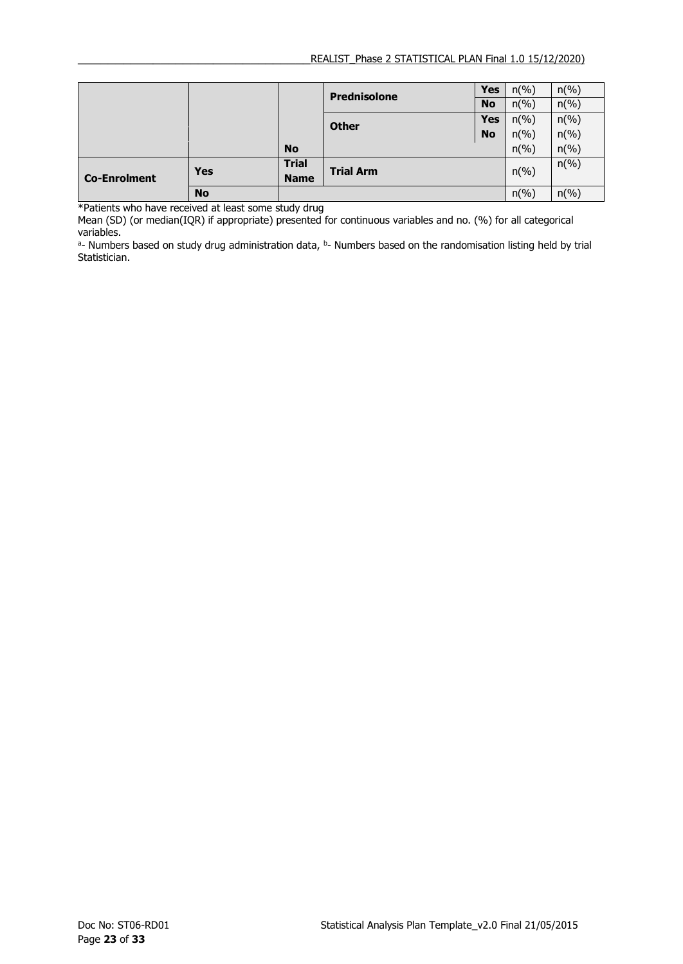|                     |            |                             | <b>Prednisolone</b> | <b>Yes</b> | $n\left(\frac{9}{6}\right)$ | $n\left(\%\right)$          |
|---------------------|------------|-----------------------------|---------------------|------------|-----------------------------|-----------------------------|
|                     |            |                             |                     | <b>No</b>  | $n\left(\frac{9}{6}\right)$ | $n(\%)$                     |
|                     |            |                             | <b>Other</b>        | <b>Yes</b> | $n\left(\frac{9}{6}\right)$ | $n\left(\%\right)$          |
|                     |            |                             |                     | <b>No</b>  | $n\left(\frac{9}{6}\right)$ | $n\left(\%\right)$          |
|                     |            | <b>No</b>                   |                     |            | $n\left(\frac{9}{6}\right)$ | $n\left(\frac{9}{6}\right)$ |
| <b>Co-Enrolment</b> | <b>Yes</b> | <b>Trial</b><br><b>Name</b> | <b>Trial Arm</b>    |            | $n\left(\%\right)$          | $n\left(\%\right)$          |
|                     | <b>No</b>  |                             |                     |            | $n\left(\%\right)$          | $n(\%)$                     |

\*Patients who have received at least some study drug

Mean (SD) (or median(IQR) if appropriate) presented for continuous variables and no. (%) for all categorical variables.

a- Numbers based on study drug administration data, b- Numbers based on the randomisation listing held by trial Statistician.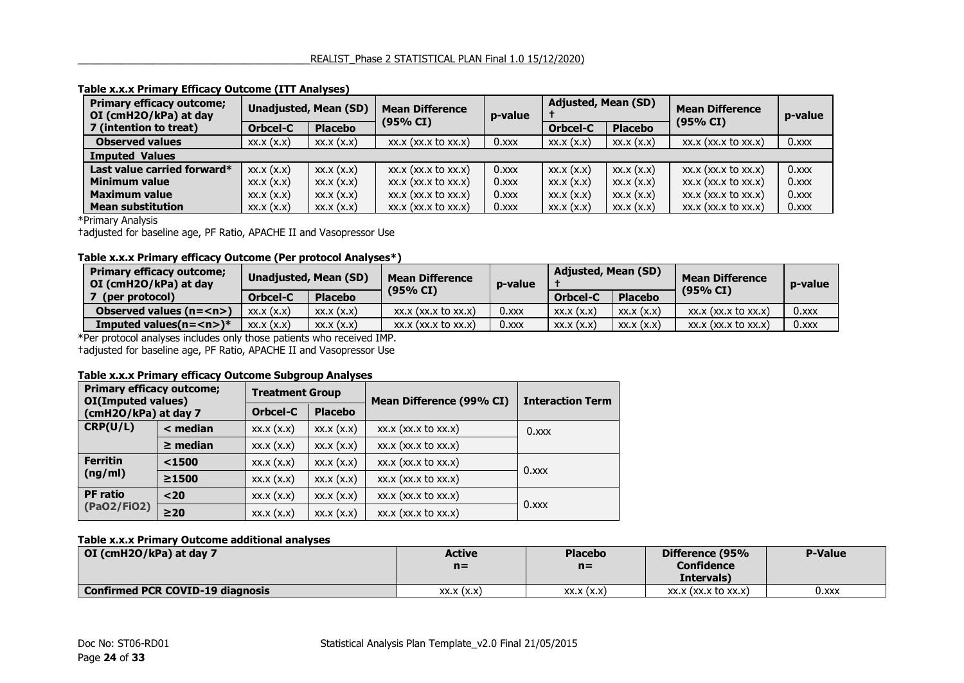| <b>Primary efficacy outcome;</b><br>Unadjusted, Mean (SD)<br>OI (cmH2O/kPa) at day |           |                | <b>Mean Difference</b><br>(95% CI) | p-value  | <b>Adjusted, Mean (SD)</b> |                | <b>Mean Difference</b><br>(95% CI) | p-value  |
|------------------------------------------------------------------------------------|-----------|----------------|------------------------------------|----------|----------------------------|----------------|------------------------------------|----------|
| 7 (intention to treat)                                                             | Orbcel-C  | <b>Placebo</b> |                                    |          | Orbcel-C                   | <b>Placebo</b> |                                    |          |
| <b>Observed values</b>                                                             | XX.X(X,X) | XX.X(X,X)      | xx.x (xx.x to xx.x)                | $0.$ xxx | XX.X(X.X)                  | XX.X(X,X)      | $XX.X$ $(XX.X$ to $XX.X)$          | 0.x      |
| <b>Imputed Values</b>                                                              |           |                |                                    |          |                            |                |                                    |          |
| Last value carried forward*                                                        | XX.X(X,X) | XX.X(X,X)      | xx.x (xx.x to xx.x)                | $0.$ xxx | XX.X(X,X)                  | XX.X(X,X)      | xx.x (xx.x to xx.x)                | $0.$ xxx |
| <b>Minimum value</b>                                                               | XX.X(X.X) | XX.X(X.X)      | xx.x (xx.x to xx.x)                | $0.$ xxx | XX.X(X,X)                  | XX.X(X,X)      | $XX.X$ $(XX.X$ to $XX.X)$          | $0.$ xxx |
| <b>Maximum value</b>                                                               | XX.X(X.X) | XX.X(X.X)      | $XX.X$ $(XX.X$ to $XX.X)$          | $0.$ xxx | XX.X(X,X)                  | XX.X(X,X)      | $XX.X$ $(XX.X$ to $XX.X)$          | $0.$ xxx |
| <b>Mean substitution</b>                                                           | XX.X(X,X) | XX.X(X.X)      | $XX.X$ ( $XX.X$ to $XX.X$ )        | $0.$ xxx | XX.X(X,X)                  | XX.X(X,X)      | $XX.X$ ( $XX.X$ to $XX.X$ )        | $0.$ xxx |

#### **Table x.x.x Primary Efficacy Outcome (ITT Analyses)**

\*Primary Analysis

†adjusted for baseline age, PF Ratio, APACHE II and Vasopressor Use

#### **Table x.x.x Primary efficacy Outcome (Per protocol Analyses\*)**

| <b>Primary efficacy outcome;</b><br>OI (cmH2O/kPa) at day | Unadjusted, Mean (SD) |                | <b>Mean Difference</b><br>(95% CI) | p-value  | <b>Adjusted, Mean (SD)</b> |                | <b>Mean Difference</b><br>(95% CI) | p-value  |
|-----------------------------------------------------------|-----------------------|----------------|------------------------------------|----------|----------------------------|----------------|------------------------------------|----------|
| (per protocol)                                            | Orbcel-C              | <b>Placebo</b> |                                    |          | Orbcel-C                   | <b>Placebo</b> |                                    |          |
| Observed values $(n=)$                                    | XX.X (X,X)            | XX.X(X,X)      | $XX.X$ ( $XX.X$ to $XX.X$ )        | $0.$ xxx | XX.X(X,X)                  | XX.X(X,X)      | $XX.X$ ( $XX.X$ to $XX.X$ )        | $0.$ xxx |
| Imputed values( $n = < n$ )*                              | XX.X(X,X)             | XX.X(X,X)      | $XX.X$ ( $XX.X$ to $XX.X$ )        | $0.$ xxx | XX.X(X,X)                  | XX.X(X,X)      | $XX.X$ (xx.x to $XX.X$ )           | $0.$ xxx |

\*Per protocol analyses includes only those patients who received IMP.

†adjusted for baseline age, PF Ratio, APACHE II and Vasopressor Use

#### **Table x.x.x Primary efficacy Outcome Subgroup Analyses**

| <b>Primary efficacy outcome;</b><br>OI(Imputed values) |               | <b>Treatment Group</b>     |           | Mean Difference (99% CI)    | <b>Interaction Term</b> |  |
|--------------------------------------------------------|---------------|----------------------------|-----------|-----------------------------|-------------------------|--|
| (cmH2O/kPa) at day 7                                   |               | Orbcel-C<br><b>Placebo</b> |           |                             |                         |  |
| CRP(U/L)                                               | $<$ median    | XX.X(X,X)                  | XX.X(X,X) | xx.x (xx.x to xx.x)         | $0.$ xxx                |  |
|                                                        | $\geq$ median | XX.X(X,X)                  | XX.X(X,X) | xx.x (xx.x to xx.x)         |                         |  |
| <b>Ferritin</b>                                        | $1500$        | XX.X(X,X)                  | XX.X(X,X) | xx.x (xx.x to xx.x)         |                         |  |
| (ng/ml)                                                | ≥1500         | XX.X(X,X)                  | XX.X(X,X) | xx.x (xx.x to xx.x)         | $0.$ xxx                |  |
| <b>PF</b> ratio                                        | $20$          | XX.X(X,X)                  | XX.X(X,X) | $XX.X$ ( $XX.X$ to $XX.X$ ) |                         |  |
| (PaO2/FiO2)                                            | $\geq 20$     | XX.X(X,X)                  | XX.X(X,X) | xx.x (xx.x to xx.x)         | $0.$ xxx                |  |

#### **Table x.x.x Primary Outcome additional analyses**

| OI (cmH2O/kPa) at day 7                 | <b>Active</b><br>$n =$ | <b>Placebo</b><br>$n =$ | Difference (95%<br>Confidence | <b>P-Value</b> |
|-----------------------------------------|------------------------|-------------------------|-------------------------------|----------------|
|                                         |                        |                         | Intervals)                    |                |
| <b>Confirmed PCR COVID-19 diagnosis</b> | XX.X(X,X)              | XX.X(X,X)               | $XX.X$ (XX, $X$ to $XX.X$ )   | 0.xxx          |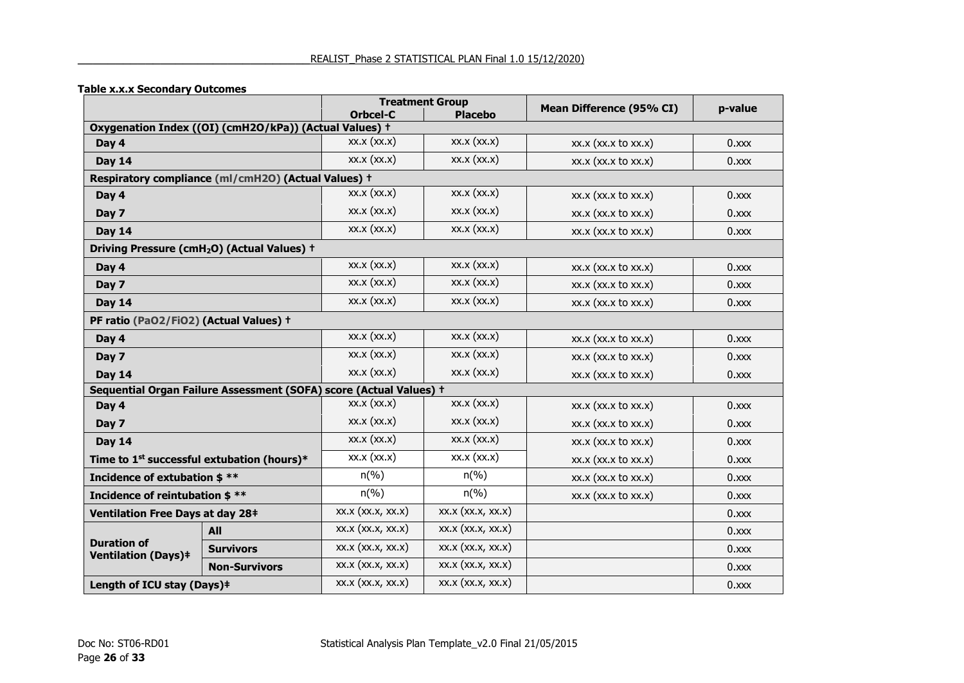#### **Table x.x.x Secondary Outcomes**

|                                                        |                                                                    | <b>Treatment Group</b>      |                             | Mean Difference (95% CI)    | p-value    |
|--------------------------------------------------------|--------------------------------------------------------------------|-----------------------------|-----------------------------|-----------------------------|------------|
|                                                        |                                                                    | Orbcel-C                    | <b>Placebo</b>              |                             |            |
|                                                        | Oxygenation Index ((OI) (cmH2O/kPa)) (Actual Values) +             |                             |                             |                             |            |
| Day 4                                                  |                                                                    | XX.X (XX.X)                 | XX.X (XX.X)                 | xx.x (xx.x to xx.x)         | $0.$ xxx   |
| <b>Day 14</b>                                          |                                                                    | XX.X (XX.X)                 | XX.X (XX.X)                 | $xx.x$ ( $xx.x$ to $xx.x$ ) | 0.xxx      |
|                                                        | Respiratory compliance (ml/cmH2O) (Actual Values) +                |                             |                             |                             |            |
| Day 4                                                  |                                                                    | XX.X (XX.X)                 | XX.X (XX.X)                 | xx.x (xx.x to xx.x)         | $0.$ xxx   |
| Day 7                                                  |                                                                    | XX.X (XX.X)                 | XX.X (XX.X)                 | $xx.x$ ( $xx.x$ to $xx.x$ ) | 0.000x     |
| <b>Day 14</b>                                          |                                                                    | XX.X (XX.X)                 | XX.X (XX.X)                 | xx.x (xx.x to xx.x)         | 0.xxx      |
|                                                        | Driving Pressure (cmH <sub>2</sub> O) (Actual Values) +            |                             |                             |                             |            |
| Day 4                                                  |                                                                    | XX.X (XX.X)                 | XX.X (XX.X)                 | $xx.x$ ( $xx.x$ to $xx.x$ ) | $0.$ $xxx$ |
| Day 7                                                  |                                                                    | XX.X (XX.X)                 | XX.X (XX.X)                 | xx.x (xx.x to xx.x)         | $0.$ xxx   |
| <b>Day 14</b>                                          |                                                                    | XX.X (XX.X)                 | XX.X (XX.X)                 | xx.x (xx.x to xx.x)         | 0.xxx      |
| PF ratio (PaO2/FiO2) (Actual Values) +                 |                                                                    |                             |                             |                             |            |
| Day 4                                                  |                                                                    | XX.X (XX.X)                 | XX.X (XX.X)                 | xx.x (xx.x to xx.x)         | $0.$ xxx   |
| Day 7                                                  |                                                                    | XX.X (XX.X)                 | XX.X (XX.X)                 | $xx.x$ ( $xx.x$ to $xx.x$ ) | 0.000x     |
| <b>Day 14</b>                                          |                                                                    | XX.X (XX.X)                 | XX.X (XX.X)                 | xx.x (xx.x to xx.x)         | 0.xxx      |
|                                                        | Sequential Organ Failure Assessment (SOFA) score (Actual Values) + |                             |                             |                             |            |
| Day 4                                                  |                                                                    | XX.X (XX.X)                 | XX.X (XX.X)                 | $xx.x$ ( $xx.x$ to $xx.x$ ) | $0.$ xxx   |
| Day 7                                                  |                                                                    | XX.X (XX.X)                 | XX.X (XX.X)                 | $xx.x$ ( $xx.x$ to $xx.x$ ) | 0.000x     |
| <b>Day 14</b>                                          |                                                                    | XX.X (XX.X)                 | XX.X (XX.X)                 | $xx.x$ ( $xx.x$ to $xx.x$ ) | $0.$ xxx   |
| Time to 1 <sup>st</sup> successful extubation (hours)* |                                                                    | XX.X (XX.X)                 | XX.X (XX.X)                 | $xx.x$ ( $xx.x$ to $xx.x$ ) | $0.$ xxx   |
| Incidence of extubation \$ **                          |                                                                    | $n\left(\frac{9}{6}\right)$ | $n\left(\frac{9}{6}\right)$ | $xx.x$ ( $xx.x$ to $xx.x$ ) | 0.xxx      |
| Incidence of reintubation \$ **                        |                                                                    | $n\left(\%\right)$          | $n\left(\%\right)$          | $xx.x$ ( $xx.x$ to $xx.x$ ) | $0.$ xxx   |
| Ventilation Free Days at day 28#                       |                                                                    | $XX.X$ $(XX.X, XX.X)$       | $XX.X$ $(XX.X, XX.X)$       |                             | $0.$ xxx   |
|                                                        | <b>All</b>                                                         | $XX.X$ $(XX.X, XX.X)$       | $XX.X$ $(XX.X, XX.X)$       |                             | 0.xxx      |
| <b>Duration of</b><br><b>Ventilation (Days)#</b>       | <b>Survivors</b>                                                   | $XX.X$ $(XX.X, XX.X)$       | $XX.X$ $(XX.X, XX.X)$       |                             | $0.$ xxx   |
|                                                        | <b>Non-Survivors</b>                                               | $XX.X$ $(XX.X, XX.X)$       | $XX.X$ $(XX.X, XX.X)$       |                             | $0.$ xxx   |
| Length of ICU stay (Days)#                             |                                                                    | $XX.X$ $(XX.X, XX.X)$       | $XX.X$ $(XX.X, XX.X)$       |                             | $0.$ xxx   |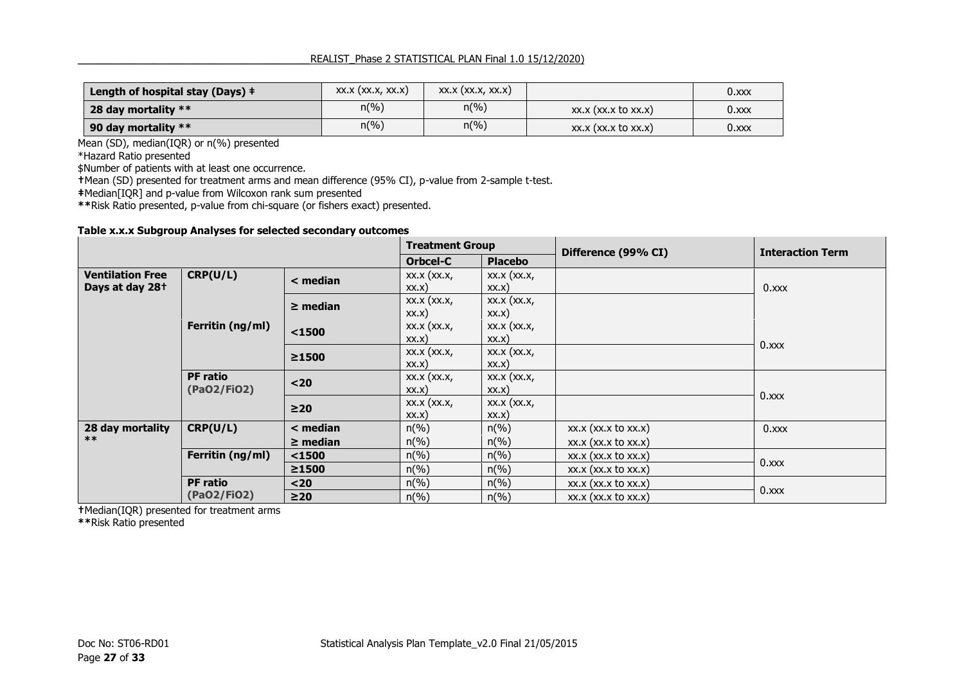| Length of hospital stay (Days) $\dagger$ | $XX.X$ $(XX.X, XX.X)$ | $XX.X$ $(XX.X, XX.X)$ |                          | $0.$ xxx |
|------------------------------------------|-----------------------|-----------------------|--------------------------|----------|
| 28 day mortality $**$                    | $n\binom{0}{0}$       | $n(\%)$               | $XX.X$ (xx.x to xx.x)    | $0.$ xxx |
| 90 day mortality $**$                    | $n\binom{0}{0}$       | $n(\%)$               | $XX.X$ (xx.x to $XX.X$ ) | 0.x      |

Mean (SD), median(IQR) or n(%) presented

\*Hazard Ratio presented

\$Number of patients with at least one occurrence.

**†**Mean (SD) presented for treatment arms and mean difference (95% CI), p-value from 2-sample t-test.

**‡**Median[IQR] and p-value from Wilcoxon rank sum presented

**\*\***Risk Ratio presented, p-value from chi-square (or fishers exact) presented.

#### **Table x.x.x Subgroup Analyses for selected secondary outcomes**

|                             |                  | <b>Treatment Group</b> |                     | Difference (99% CI) | <b>Interaction Term</b>     |          |  |
|-----------------------------|------------------|------------------------|---------------------|---------------------|-----------------------------|----------|--|
|                             |                  |                        | Orbcel-C            | <b>Placebo</b>      |                             |          |  |
| <b>Ventilation Free</b>     | CRP(U/L)         | < median               | $XX.X$ $(XX.X,$     | $XX.X$ $(XX.X,$     |                             |          |  |
| Days at day 28 <sup>+</sup> |                  |                        | XX.X)               | XX.X)               |                             | $0.$ xxx |  |
|                             |                  | $\geq$ median          | $XX.X$ $(XX.X,$     | $XX.X$ $(XX.X,$     |                             |          |  |
|                             |                  |                        | XX.X)               | XX.X)               |                             |          |  |
|                             | Ferritin (ng/ml) | $1500$                 | $XX.X$ $(XX.X,$     | $XX.X$ $(XX.X,$     |                             |          |  |
|                             |                  |                        | XX.X)               | XX.X)               |                             | $0.$ xxx |  |
|                             |                  | ≥1500                  | $XX.X$ $(XX.X,$     | $XX.X$ $(XX.X,$     |                             |          |  |
|                             |                  |                        | XX.X)               | XX.X)               |                             |          |  |
|                             | <b>PF</b> ratio  | $20$                   | $XX.X$ $(XX.X,$     | $XX.X$ $(XX.X,$     |                             |          |  |
|                             | (PaO2/FiO2)      |                        | XX.X)               | XX.X)               |                             | 0.xxx    |  |
|                             |                  | $\geq$ 20              | $XX.X$ $(XX.X,$     | $XX.X$ $(XX.X,$     |                             |          |  |
|                             |                  |                        | XX.X)               | XX.X)               |                             |          |  |
| 28 day mortality            | CRP(U/L)         | $<$ median             | $n\left(\% \right)$ | $n(\%)$             | xx.x (xx.x to xx.x)         | $0.$ xxx |  |
| $***$                       |                  | $\geq$ median          | $n\left(\%\right)$  | $n(\%)$             | $XX.X$ ( $XX.X$ to $XX.X$ ) |          |  |
|                             | Ferritin (ng/ml) | $1500$                 | $n\left(\%\right)$  | $n\left(\%\right)$  | $XX.X$ ( $XX.X$ to $XX.X$ ) | $0.$ xxx |  |
|                             |                  | ≥1500                  | $n\left(\%\right)$  | $n\left(\%\right)$  | $XX.X$ ( $XX.X$ to $XX.X$ ) |          |  |
|                             | <b>PF</b> ratio  | $20$                   | $n\left(\%\right)$  | $n(\%)$             | $XX.X$ ( $XX.X$ to $XX.X$ ) |          |  |
|                             | (PaO2/FiO2)      | $\geq$ 20              | $n\left(\%\right)$  | $n(\%)$             | $XX.X$ ( $XX.X$ to $XX.X$ ) | 0.xxx    |  |

**†**Median(IQR) presented for treatment arms

**\*\***Risk Ratio presented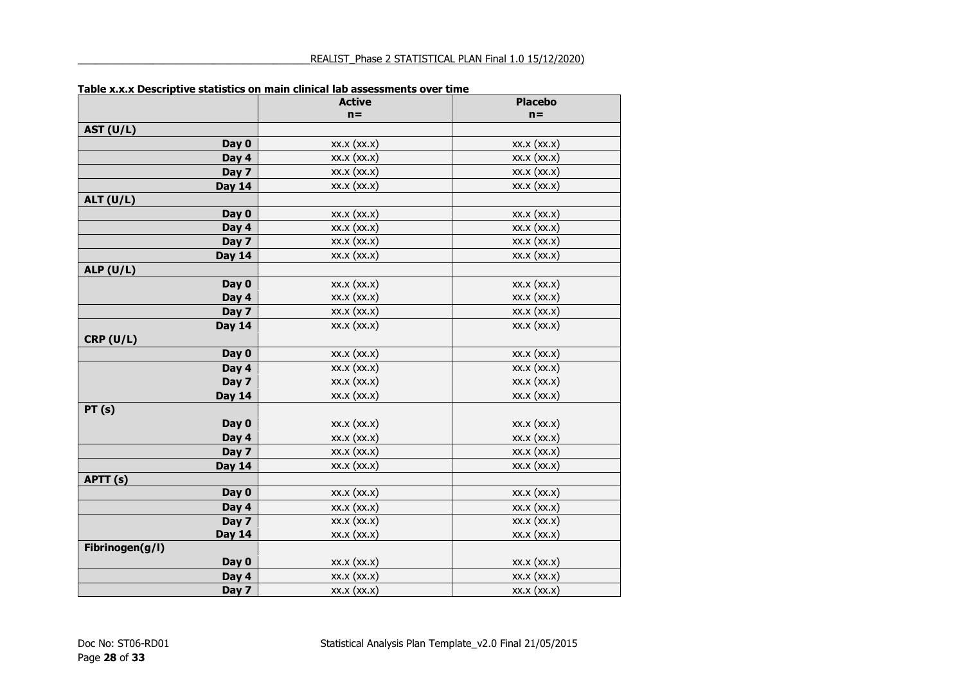|                  | <b>Active</b>   | <b>Placebo</b>  |
|------------------|-----------------|-----------------|
|                  | $n =$           | $n =$           |
| <b>AST (U/L)</b> |                 |                 |
| Day 0            | XX.X (XX.X)     | $XX.X$ $(XX.X)$ |
| Day 4            | XX.X (XX.X)     | $XX.X$ $(XX.X)$ |
| Day 7            | XX.X (XX.X)     | XX.X (XX.X)     |
| <b>Day 14</b>    | XX.X (XX.X)     | $XX.X$ $(XX.X)$ |
| ALT $(U/L)$      |                 |                 |
| Day 0            | XX.X (XX.X)     | XX.X (XX.X)     |
| Day 4            | $XX.X$ $(XX.X)$ | $XX.X$ $(XX.X)$ |
| Day 7            | XX.X (XX.X)     | $XX.X$ $(XX.X)$ |
| <b>Day 14</b>    | XX.X (XX.X)     | XX.X (XX.X)     |
| ALP $(U/L)$      |                 |                 |
| Day 0            | $XX.X$ $(XX.X)$ | XX.X (XX.X)     |
| Day 4            | XX.X (XX.X)     | $XX.X$ $(XX.X)$ |
| Day 7            | XX.X (XX.X)     | XX.X (XX.X)     |
| <b>Day 14</b>    | XX.X (XX.X)     | XX.X (XX.X)     |
| CRP(U/L)         |                 |                 |
| Day 0            | XX.X (XX.X)     | $XX.X$ $(XX.X)$ |
| Day 4            | XX.X (XX.X)     | XX.X (XX.X)     |
| Day 7            | XX.X (XX.X)     | XX.X (XX.X)     |
| <b>Day 14</b>    | XX.X (XX.X)     | XX.X (XX.X)     |
| PT(s)            |                 |                 |
| Day 0            | XX.X (XX.X)     | $XX.X$ $(XX.X)$ |
| Day 4            | XX.X (XX.X)     | $XX.X$ $(XX.X)$ |
| Day 7            | $XX.X$ $(XX.X)$ | $XX.X$ $(XX.X)$ |
| <b>Day 14</b>    | XX.X (XX.X)     | XX.X (XX.X)     |
| APTT (s)         |                 |                 |
| Day 0            | XX.X (XX.X)     | XX.X (XX.X)     |
| Day 4            | XX.X (XX.X)     | $XX.X$ $(XX.X)$ |
| Day 7            | XX.X (XX.X)     | XX.X (XX.X)     |
| <b>Day 14</b>    | XX.X (XX.X)     | $XX.X$ $(XX.X)$ |
| Fibrinogen(g/l)  |                 |                 |
| Day 0            | XX.X (XX.X)     | XX.X (XX.X)     |
| Day 4            | XX.X (XX.X)     | $XX.X$ $(XX.X)$ |
| Day 7            | XX.X (XX.X)     | XX.X (XX.X)     |

#### **Table x.x.x Descriptive statistics on main clinical lab assessments over time**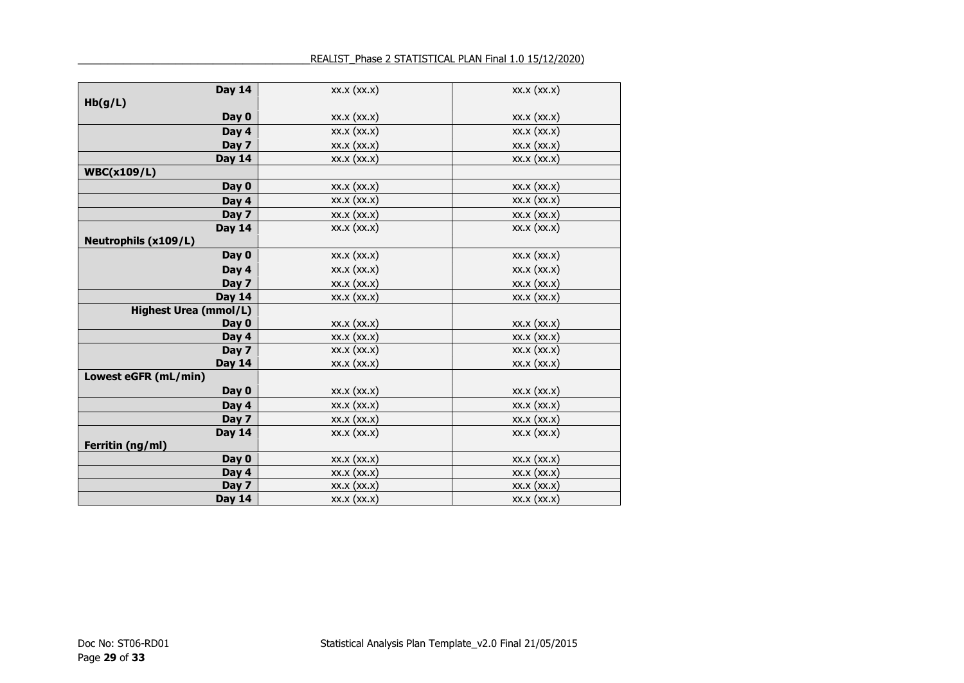| <b>Day 14</b>                | XX.X (XX.X)     | $XX.X$ $(XX.X)$ |
|------------------------------|-----------------|-----------------|
| Hb(g/L)                      |                 |                 |
| Day 0                        | XX.X (XX.X)     | XX.X (XX.X)     |
| Day 4                        | XX.X (XX.X)     | XX.X (XX.X)     |
| Day 7                        | XX.X (XX.X)     | XX.X (XX.X)     |
| <b>Day 14</b>                | XX.X (XX.X)     | $XX.X$ $(XX.X)$ |
| <b>WBC(x109/L)</b>           |                 |                 |
| Day 0                        | XX.X (XX.X)     | $XX.X$ $(XX.X)$ |
| Day 4                        | XX.X (XX.X)     | XX.X (XX.X)     |
| Day 7                        | XX.X (XX.X)     | XX.X (XX.X)     |
| <b>Day 14</b>                | XX.X (XX.X)     | $XX.X$ $(XX.X)$ |
| <b>Neutrophils (x109/L)</b>  |                 |                 |
| Day 0                        | XX.X (XX.X)     | $XX.X$ $(XX.X)$ |
| Day 4                        | XX.X (XX.X)     | XX.X (XX.X)     |
| Day 7                        | XX.X (XX.X)     | XX.X (XX.X)     |
| <b>Day 14</b>                | XX.X (XX.X)     | $XX.X$ $(XX.X)$ |
| <b>Highest Urea (mmol/L)</b> |                 |                 |
| Day 0                        | XX.X (XX.X)     | XX.X (XX.X)     |
| Day 4                        | XX.X (XX.X)     | $XX.X$ $(XX.X)$ |
| Day 7                        | XX.X (XX.X)     | $XX.X$ $(XX.X)$ |
| <b>Day 14</b>                | $XX.X$ $(XX.X)$ | $XX.X$ $(XX.X)$ |
| Lowest eGFR (mL/min)         |                 |                 |
| Day 0                        | XX.X (XX.X)     | $XX.X$ $(XX.X)$ |
| Day 4                        | XX.X (XX.X)     | XX.X (XX.X)     |
| Day 7                        | $XX.X$ $(XX.X)$ | $XX.X$ $(XX.X)$ |
| <b>Day 14</b>                | XX.X (XX.X)     | $XX.X$ $(XX.X)$ |
| Ferritin (ng/ml)             |                 |                 |
| Day 0                        | $XX.X$ $(XX.X)$ | $XX.X$ $(XX.X)$ |
| Day 4                        | XX.X (XX.X)     | XX.X (XX.X)     |
| Day 7                        | XX.X (XX.X)     | XX.X (XX.X)     |
| <b>Day 14</b>                | $XX.X$ $(XX.X)$ | $XX.X$ $(XX.X)$ |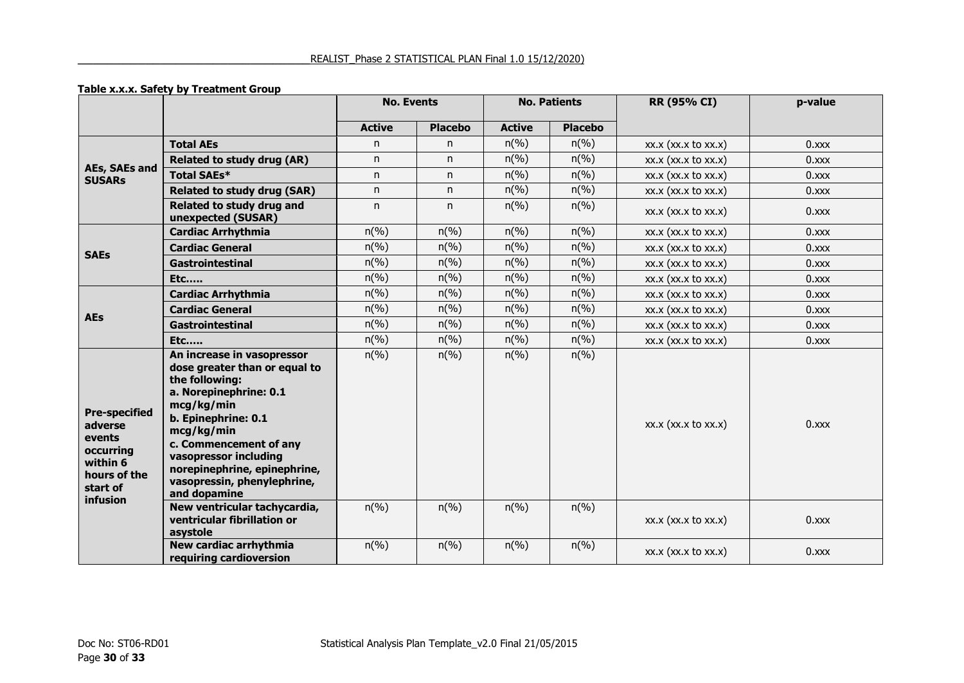#### **Table x.x.x. Safety by Treatment Group**

|                                                                                                            |                                                                                                                                                                                                                                                                                              |                             | <b>No. Events</b><br><b>No. Patients</b> |                             | RR (95% CI)                 | p-value                     |          |
|------------------------------------------------------------------------------------------------------------|----------------------------------------------------------------------------------------------------------------------------------------------------------------------------------------------------------------------------------------------------------------------------------------------|-----------------------------|------------------------------------------|-----------------------------|-----------------------------|-----------------------------|----------|
|                                                                                                            |                                                                                                                                                                                                                                                                                              | <b>Active</b>               | <b>Placebo</b>                           | <b>Active</b>               | <b>Placebo</b>              |                             |          |
|                                                                                                            | <b>Total AEs</b>                                                                                                                                                                                                                                                                             | n.                          | n.                                       | $n(\%)$                     | $n\left(\frac{9}{6}\right)$ | $XX.X$ ( $XX.X$ to $XX.X$ ) | $0.$ xxx |
|                                                                                                            | Related to study drug (AR)                                                                                                                                                                                                                                                                   | n.                          | n                                        | $n(\%)$                     | $n\left(\frac{9}{6}\right)$ | xx.x (xx.x to xx.x)         | 0.xxx    |
| AEs, SAEs and<br><b>SUSARs</b>                                                                             | <b>Total SAEs*</b>                                                                                                                                                                                                                                                                           | n.                          | n                                        | $n(\%)$                     | $n\left(\%\right)$          | $XX.X$ ( $XX.X$ to $XX.X$ ) | 0.xxx    |
|                                                                                                            | <b>Related to study drug (SAR)</b>                                                                                                                                                                                                                                                           | n.                          | n                                        | $n(\%)$                     | $n(\%)$                     | xx.x (xx.x to xx.x)         | 0.xxx    |
|                                                                                                            | Related to study drug and<br>unexpected (SUSAR)                                                                                                                                                                                                                                              | n.                          | n                                        | $n\left(\%\right)$          | $n\left(\frac{9}{6}\right)$ | $XX.X$ ( $XX.X$ to $XX.X$ ) | $0.$ xxx |
|                                                                                                            | <b>Cardiac Arrhythmia</b>                                                                                                                                                                                                                                                                    | $n(\%)$                     | $n\left(\%\right)$                       | $n(\%)$                     | $n\left(\frac{9}{6}\right)$ | $XX.X$ ( $XX.X$ to $XX.X$ ) | $0.$ xxx |
| <b>SAEs</b>                                                                                                | <b>Cardiac General</b>                                                                                                                                                                                                                                                                       | $n(\%)$                     | $n(\%)$                                  | $n(\%)$                     | $n\left(\frac{9}{6}\right)$ | $XX.X$ ( $XX.X$ to $XX.X$ ) | 0.xxx    |
|                                                                                                            | <b>Gastrointestinal</b>                                                                                                                                                                                                                                                                      | $n\left(\%\right)$          | $n\left(\%\right)$                       | $n(\%)$                     | $n\left(\frac{9}{6}\right)$ | xx.x (xx.x to xx.x)         | 0.xxx    |
|                                                                                                            | <b>Etc</b>                                                                                                                                                                                                                                                                                   | $n\left(\frac{9}{6}\right)$ | $n\left(\%\right)$                       | $n(\%)$                     | $n\left(\frac{9}{6}\right)$ | $XX.X$ ( $XX.X$ to $XX.X$ ) | 0.xxx    |
|                                                                                                            | <b>Cardiac Arrhythmia</b>                                                                                                                                                                                                                                                                    | $n\left(\%\right)$          | $n\left(\%\right)$                       | $n(\%)$                     | $n\left(\frac{9}{6}\right)$ | $XX.X$ ( $XX.X$ to $XX.X$ ) | 0, xxx   |
| <b>AEs</b>                                                                                                 | <b>Cardiac General</b>                                                                                                                                                                                                                                                                       | $n(\%)$                     | $n(\%)$                                  | $n(\%)$                     | $n\left(\%\right)$          | $XX.X$ ( $XX.X$ to $XX.X$ ) | 0.xxx    |
|                                                                                                            | Gastrointestinal                                                                                                                                                                                                                                                                             | $n(\%)$                     | $n\left(\%\right)$                       | $n\left(\frac{9}{6}\right)$ | $n\left(\frac{9}{6}\right)$ | $XX.X$ ( $XX.X$ to $XX.X$ ) | $0.$ xxx |
|                                                                                                            | <b>Etc</b>                                                                                                                                                                                                                                                                                   | $n(\%)$                     | $n\left(\%\right)$                       | $n\left(\%\right)$          | $n\left(\%\right)$          | xx.x (xx.x to xx.x)         | $0.$ xxx |
| <b>Pre-specified</b><br>adverse<br>events<br>occurring<br>within 6<br>hours of the<br>start of<br>infusion | An increase in vasopressor<br>dose greater than or equal to<br>the following:<br>a. Norepinephrine: 0.1<br>mcg/kg/min<br>b. Epinephrine: 0.1<br>mcg/kg/min<br>c. Commencement of any<br>vasopressor including<br>norepinephrine, epinephrine,<br>vasopressin, phenylephrine,<br>and dopamine | $n\left(\%\right)$          | $n\left(\%\right)$                       | $n\left(\frac{9}{6}\right)$ | $n\left(\frac{9}{6}\right)$ | $XX.X$ ( $XX.X$ to $XX.X$ ) | $0.$ xxx |
|                                                                                                            | New ventricular tachycardia,<br>ventricular fibrillation or<br>asystole                                                                                                                                                                                                                      | $n\left(\frac{9}{6}\right)$ | $n\left(\frac{9}{6}\right)$              | $n(\%)$                     | $n\left(\%\right)$          | xx.x (xx.x to xx.x)         | $0.$ xxx |
|                                                                                                            | New cardiac arrhythmia<br>requiring cardioversion                                                                                                                                                                                                                                            | $n\left(\frac{9}{6}\right)$ | $n\left(\frac{9}{6}\right)$              | $n(\%)$                     | $n\left(\%\right)$          | xx.x (xx.x to xx.x)         | $0.$ xxx |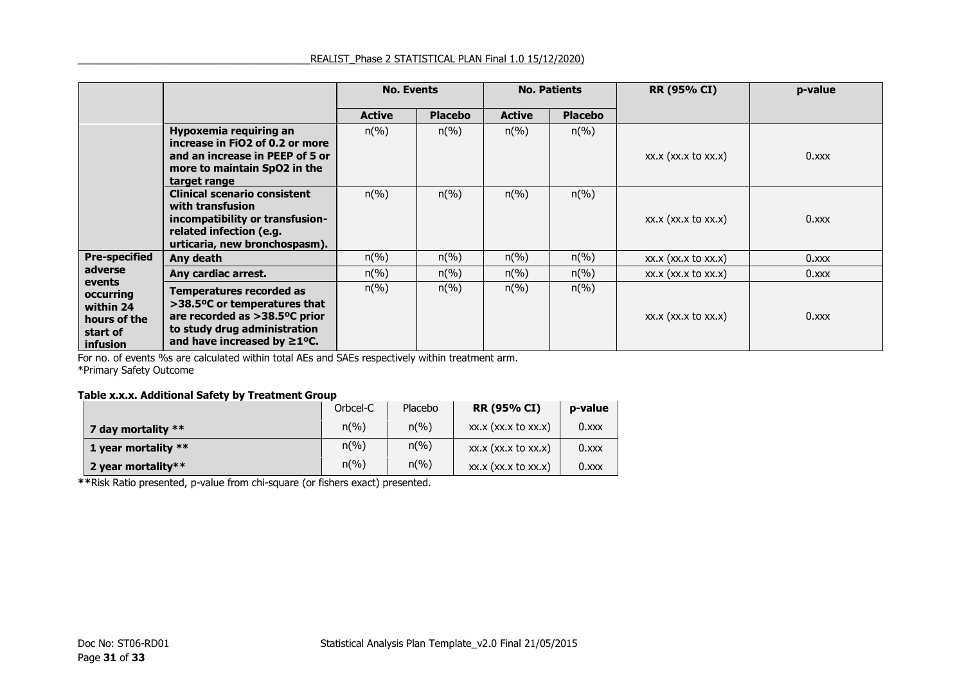|                                                                          |                                                                                                                                                                       | <b>No. Events</b>           |                             | <b>No. Patients</b>         |                             | <b>RR (95% CI)</b>          | p-value  |
|--------------------------------------------------------------------------|-----------------------------------------------------------------------------------------------------------------------------------------------------------------------|-----------------------------|-----------------------------|-----------------------------|-----------------------------|-----------------------------|----------|
|                                                                          |                                                                                                                                                                       | <b>Active</b>               | <b>Placebo</b>              | <b>Active</b>               | <b>Placebo</b>              |                             |          |
|                                                                          | <b>Hypoxemia requiring an</b><br>increase in FiO2 of 0.2 or more<br>and an increase in PEEP of 5 or<br>more to maintain SpO2 in the<br>target range                   | $n\left(\frac{9}{6}\right)$ | $n\left(\frac{9}{6}\right)$ | $n\left(\%\right)$          | $n\left(\%\right)$          | $XX.X$ ( $XX.X$ to $XX.X$ ) | $0.$ xxx |
|                                                                          | Clinical scenario consistent<br>with transfusion<br>incompatibility or transfusion-<br>related infection (e.g.<br>urticaria, new bronchospasm).                       | $n\left(\%\right)$          | $n\left(\frac{9}{6}\right)$ | $n\left(\frac{9}{6}\right)$ | $n\left(\%\right)$          | xx.x (xx.x to xx.x)         | $0.$ xxx |
| <b>Pre-specified</b>                                                     | Any death                                                                                                                                                             | $n\left(\frac{9}{6}\right)$ | $n\left(\frac{9}{6}\right)$ | $n\left(\%\right)$          | $n\left(\frac{9}{6}\right)$ | $XX.X$ $(XX.X$ to $XX.X)$   | 0.x      |
| adverse                                                                  | Any cardiac arrest.                                                                                                                                                   | $n\left(\frac{9}{6}\right)$ | $n\left(\frac{9}{6}\right)$ | $n\left(\%\right)$          | $n\left(\frac{9}{6}\right)$ | xx.x (xx.x to xx.x)         | 0.000x   |
| events<br>occurring<br>within 24<br>hours of the<br>start of<br>infusion | <b>Temperatures recorded as</b><br>>38.5°C or temperatures that<br>are recorded as >38.5°C prior<br>to study drug administration<br>and have increased by $\geq$ 1°C. | $n\left(\% \right)$         | $n\left(\%\right)$          | $n\left(\%\right)$          | $n\left(\%\right)$          | $XX.X$ ( $XX.X$ to $XX.X$ ) | $0.$ xxx |

For no. of events %s are calculated within total AEs and SAEs respectively within treatment arm. \*Primary Safety Outcome

#### **Table x.x.x. Additional Safety by Treatment Group**

|                     | Orbcel-C                    | Placebo                     | <b>RR (95% CI)</b>          | p-value  |
|---------------------|-----------------------------|-----------------------------|-----------------------------|----------|
| 7 day mortality **  | $n\left(\frac{9}{6}\right)$ | $n\left(\frac{9}{6}\right)$ | $XX.X$ $(XX.X$ to $XX.X)$   | $0.$ xxx |
| 1 year mortality ** | $n\binom{0}{0}$             | $n\left(\frac{9}{6}\right)$ | $XX.X$ ( $XX.X$ to $XX.X$ ) | $0.$ xxx |
| 2 year mortality**  | $n(\%)$                     | $n(\%)$                     | $XX.X$ ( $XX.X$ to $XX.X$ ) | $0.$ xxx |

**\*\***Risk Ratio presented, p-value from chi-square (or fishers exact) presented.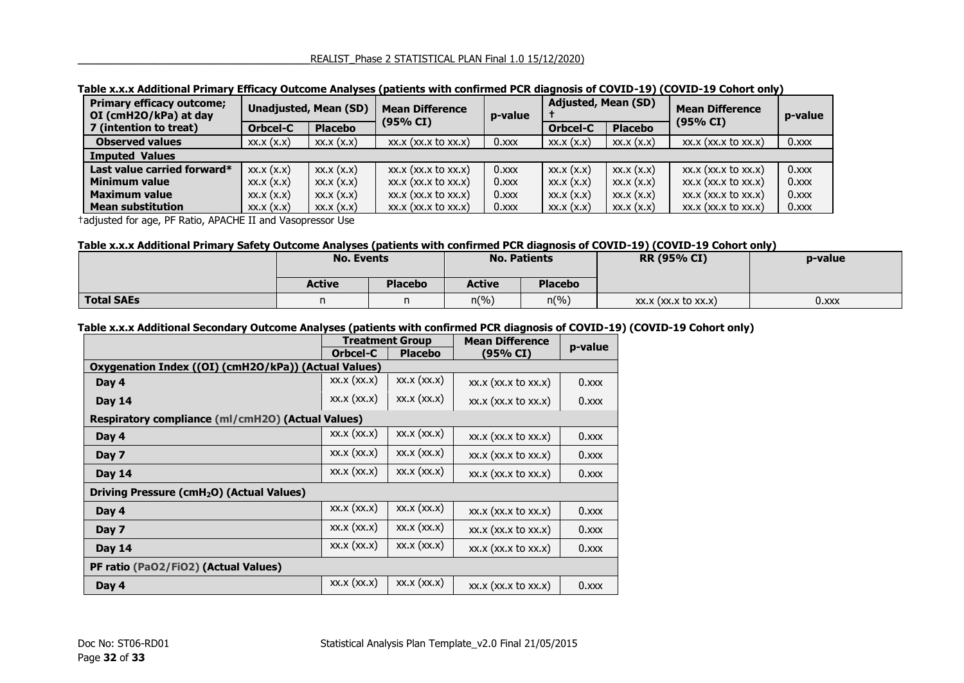| <b>Primary efficacy outcome;</b><br>OI (cmH2O/kPa) at day | <b>Unadjusted, Mean (SD)</b> |                | <b>Mean Difference</b><br>(95% CI) | p-value  | <b>Adjusted, Mean (SD)</b> |                | <b>Mean Difference</b><br>(95% CI) | p-value  |
|-----------------------------------------------------------|------------------------------|----------------|------------------------------------|----------|----------------------------|----------------|------------------------------------|----------|
| 7 (intention to treat)                                    | Orbcel-C                     | <b>Placebo</b> |                                    |          | <b>Orbcel-C</b>            | <b>Placebo</b> |                                    |          |
| <b>Observed values</b>                                    | XX.X(X.X)                    | XX.X(X,X)      | $XX.X$ ( $XX.X$ to $XX.X$ )        | $0.$ xxx | XX.X(X.X)                  | XX.X(X,X)      | $XX.X$ ( $XX.X$ to $XX.X$ )        | $0.$ xxx |
| <b>Imputed Values</b>                                     |                              |                |                                    |          |                            |                |                                    |          |
| Last value carried forward*                               | XX.X(X.X)                    | XX.X(X,X)      | $XX.X$ ( $XX.X$ to $XX.X$ )        | $0.$ xxx | XX.X(X,X)                  | XX.X(X,X)      | xx.x (xx.x to xx.x)                | $0.$ xxx |
| <b>Minimum value</b>                                      | XX.X(X.X)                    | XX.X(X,X)      | $XX.X$ ( $XX.X$ to $XX.X$ )        | $0.$ xxx | XX.X(X,X)                  | XX.X(X,X)      | $XX.X$ ( $XX.X$ to $XX.X$ )        | $0.$ xxx |
| <b>Maximum value</b>                                      | XX.X(X.X)                    | XX.X(X.X)      | $XX.X$ $(XX.X$ to $XX.X)$          | $0.$ xxx | XX.X(X.X)                  | XX.X(X,X)      | $XX.X$ ( $XX.X$ to $XX.X$ )        | $0.$ xxx |
| <b>Mean substitution</b>                                  | XX.X(X.X)                    | XX.X(X.X)      | $XX.X$ ( $XX.X$ to $XX.X$ )        | $0.$ xxx | XX.X(X,X)                  | XX.X(X,X)      | $XX.X$ ( $XX.X$ to $XX.X$ )        | $0.$ xxx |

#### **Table x.x.x Additional Primary Efficacy Outcome Analyses (patients with confirmed PCR diagnosis of COVID-19) (COVID-19 Cohort only)**

†adjusted for age, PF Ratio, APACHE II and Vasopressor Use

#### **Table x.x.x Additional Primary Safety Outcome Analyses (patients with confirmed PCR diagnosis of COVID-19) (COVID-19 Cohort only)**

|                   | <b>No. Events</b> |                | <b>No. Patients</b> |                | <b>RR (95% CI)</b>        | p-value |
|-------------------|-------------------|----------------|---------------------|----------------|---------------------------|---------|
|                   | <b>Active</b>     | <b>Placebo</b> | <b>Active</b>       | <b>Placebo</b> |                           |         |
| <b>Total SAEs</b> | n                 |                | $n(\%)$             | $n(\%)$        | $XX.X$ $(XX.X$ to $XX.X)$ | 0.xxx   |

#### **Table x.x.x Additional Secondary Outcome Analyses (patients with confirmed PCR diagnosis of COVID-19) (COVID-19 Cohort only)**

|                                                       |             | <b>Treatment Group</b> | <b>Mean Difference</b>      | p-value  |  |  |  |  |
|-------------------------------------------------------|-------------|------------------------|-----------------------------|----------|--|--|--|--|
|                                                       | Orbcel-C    | <b>Placebo</b>         | (95% CI)                    |          |  |  |  |  |
| Oxygenation Index ((OI) (cmH2O/kPa)) (Actual Values)  |             |                        |                             |          |  |  |  |  |
| Day 4                                                 | XX.X (XX.X) | XX.X (XX.X)            | xx.x (xx.x to xx.x)         | $0.$ xxx |  |  |  |  |
| <b>Day 14</b>                                         | XX.X (XX.X) | XX.X (XX.X)            | xx.x (xx.x to xx.x)         | $0.$ xxx |  |  |  |  |
| Respiratory compliance (ml/cmH2O) (Actual Values)     |             |                        |                             |          |  |  |  |  |
| Day 4                                                 | XX.X (XX.X) | XX.X (XX.X)            | $XX.X$ ( $XX.X$ to $XX.X$ ) | $0.$ xxx |  |  |  |  |
| Day 7                                                 | XX.X (XX.X) | XX.X (XX.X)            | xx.x (xx.x to xx.x)         | $0.$ xxx |  |  |  |  |
| <b>Day 14</b>                                         | XX.X (XX.X) | XX.X (XX.X)            | xx.x (xx.x to xx.x)         | $0.$ xxx |  |  |  |  |
| Driving Pressure (cmH <sub>2</sub> O) (Actual Values) |             |                        |                             |          |  |  |  |  |
| Day 4                                                 | XX.X (XX.X) | XX.X (XX.X)            | xx.x (xx.x to xx.x)         | $0.$ xxx |  |  |  |  |
| Day 7                                                 | XX.X (XX.X) | XX.X (XX.X)            | xx.x (xx.x to xx.x)         | $0.$ xxx |  |  |  |  |
| <b>Day 14</b>                                         | XX.X (XX.X) | XX.X (XX.X)            | xx.x (xx.x to xx.x)         | $0.$ XXX |  |  |  |  |
| PF ratio (PaO2/FiO2) (Actual Values)                  |             |                        |                             |          |  |  |  |  |
| Day 4                                                 | XX.X (XX.X) | XX.X (XX.X)            | xx.x (xx.x to xx.x)         | $0.$ xxx |  |  |  |  |